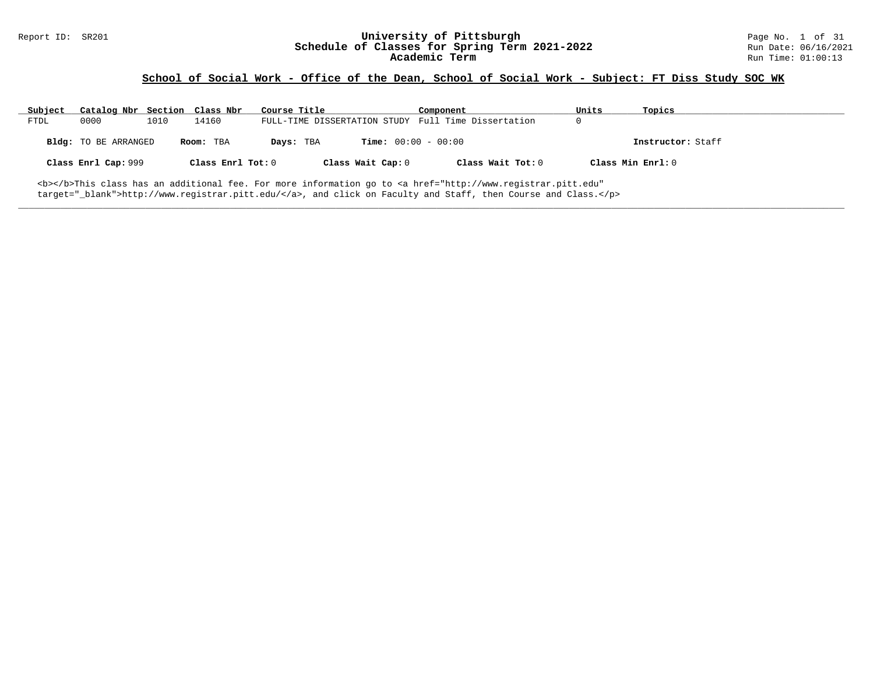# Report ID: SR201 **University of Pittsburgh University of Pittsburgh** Page No. 1 of 31 **Schedule of Classes for Spring Term 2021-2022** Run Date: 06/16/2021 Schedule of Classes for Spring Term 2021-2022<br>**Academic Term**

### **School of Social Work - Office of the Dean, School of Social Work - Subject: FT Diss Study SOC WK**

| Subject | Catalog Nbr Section Class Nbr |      |                   | Course Title |                              | Component                                                                                                                                       | Units | Topics            |
|---------|-------------------------------|------|-------------------|--------------|------------------------------|-------------------------------------------------------------------------------------------------------------------------------------------------|-------|-------------------|
| FTDL    | 0000                          | 1010 | 14160             |              |                              | FULL-TIME DISSERTATION STUDY Full Time Dissertation                                                                                             |       |                   |
|         | <b>Bldg:</b> TO BE ARRANGED   |      | Room: TBA         | Days: TBA    | <b>Time:</b> $00:00 - 00:00$ |                                                                                                                                                 |       | Instructor: Staff |
|         | Class Enrl Cap: 999           |      | Class Enrl Tot: 0 |              | Class Wait Cap: 0            | Class Wait Tot: 0                                                                                                                               |       | Class Min Enrl: 0 |
|         |                               |      |                   |              |                              | <b></b> >This class has an additional fee. For more information go to <a <="" href="http://www.registrar.pitt.edu" td=""><td></td><td></td></a> |       |                   |

**\_\_\_\_\_\_\_\_\_\_\_\_\_\_\_\_\_\_\_\_\_\_\_\_\_\_\_\_\_\_\_\_\_\_\_\_\_\_\_\_\_\_\_\_\_\_\_\_\_\_\_\_\_\_\_\_\_\_\_\_\_\_\_\_\_\_\_\_\_\_\_\_\_\_\_\_\_\_\_\_\_\_\_\_\_\_\_\_\_\_\_\_\_\_\_\_\_\_\_\_\_\_\_\_\_\_\_\_\_\_\_\_\_\_\_\_\_\_\_\_\_\_\_\_\_\_\_\_\_\_\_\_\_\_\_\_\_\_\_\_\_\_\_\_\_\_\_\_\_\_\_\_\_\_\_\_**

target="\_blank">http://www.registrar.pitt.edu/</a>, and click on Faculty and Staff, then Course and Class.</p>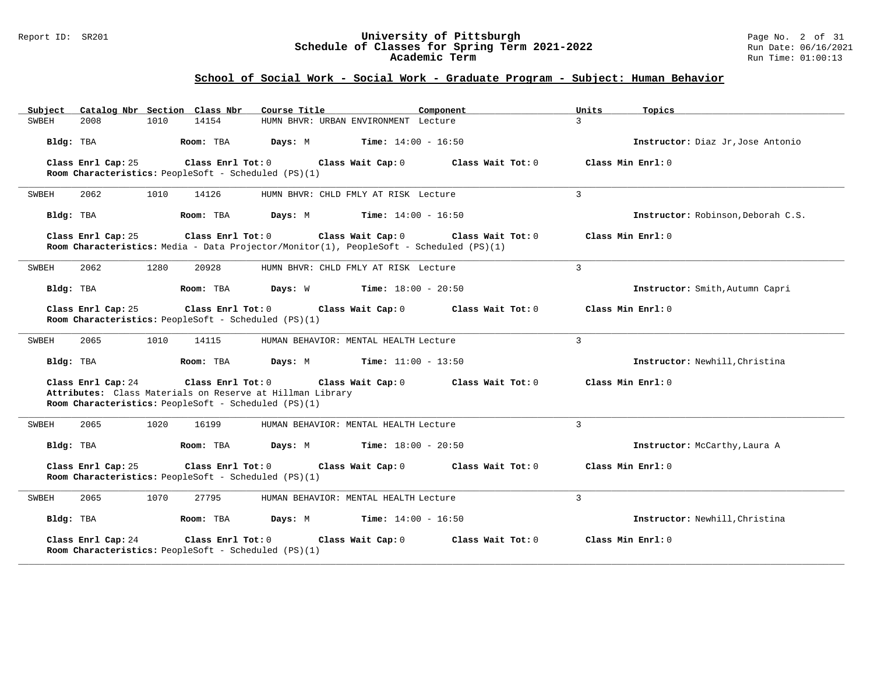#### Report ID: SR201 **University of Pittsburgh** Page No. 2 of 31 **Schedule of Classes for Spring Term 2021-2022** Run Date: 06/16/2021 **Academic Term** Run Time: 01:00:13

# **School of Social Work - Social Work - Graduate Program - Subject: Human Behavior**

| Catalog Nbr Section Class Nbr<br>Subject | Course Title                                                                                                                                                | Component<br>Units           | Topics                             |
|------------------------------------------|-------------------------------------------------------------------------------------------------------------------------------------------------------------|------------------------------|------------------------------------|
| <b>SWBEH</b><br>2008<br>1010             | 14154<br>HUMN BHVR: URBAN ENVIRONMENT Lecture                                                                                                               | 3                            |                                    |
| Bldg: TBA                                | Room: TBA<br><b>Days:</b> M <b>Time:</b> $14:00 - 16:50$                                                                                                    |                              | Instructor: Diaz Jr, Jose Antonio  |
| Class Enrl Cap: 25                       | Class Enrl Tot: 0<br>Class Wait Cap: 0<br>Room Characteristics: PeopleSoft - Scheduled (PS)(1)                                                              | Class Wait Tot: 0            | Class Min Enrl: 0                  |
| 2062<br>1010<br>SWBEH                    | 14126<br>HUMN BHVR: CHLD FMLY AT RISK Lecture                                                                                                               | $\mathbf{3}$                 |                                    |
| Bldg: TBA                                | Room: TBA<br>Days: M                                                                                                                                        | <b>Time:</b> $14:00 - 16:50$ | Instructor: Robinson, Deborah C.S. |
| Class Enrl Cap: 25                       | Class Enrl Tot: 0<br>Class Wait Cap: 0<br>Room Characteristics: Media - Data Projector/Monitor(1), PeopleSoft - Scheduled (PS)(1)                           | Class Wait Tot: 0            | Class Min Enrl: 0                  |
| SWBEH<br>2062<br>1280                    | 20928<br>HUMN BHVR: CHLD FMLY AT RISK Lecture                                                                                                               | 3                            |                                    |
| Bldg: TBA                                | Room: TBA<br>Days: W<br>$Time: 18:00 - 20:50$                                                                                                               |                              | Instructor: Smith, Autumn Capri    |
| Class Enrl Cap: 25                       | Class Enrl Tot: 0<br>Class Wait Cap: 0<br>Room Characteristics: PeopleSoft - Scheduled (PS)(1)                                                              | Class Wait Tot: 0            | Class Min Enrl: 0                  |
| SWBEH<br>2065<br>1010                    | 14115<br>HUMAN BEHAVIOR: MENTAL HEALTH Lecture                                                                                                              | $\mathbf{3}$                 |                                    |
| Bldg: TBA                                | Room: TBA<br>Days: M                                                                                                                                        | <b>Time:</b> $11:00 - 13:50$ | Instructor: Newhill, Christina     |
| Class Enrl Cap: 24                       | Class Enrl Tot: 0<br>Class Wait Cap: 0<br>Attributes: Class Materials on Reserve at Hillman Library<br>Room Characteristics: PeopleSoft - Scheduled (PS)(1) | Class Wait Tot: 0            | Class Min Enrl: 0                  |
| 2065<br>1020<br>SWBEH                    | 16199<br>HUMAN BEHAVIOR: MENTAL HEALTH Lecture                                                                                                              | $\overline{3}$               |                                    |
| Bldg: TBA                                | Room: TBA<br>Days: M                                                                                                                                        | <b>Time:</b> $18:00 - 20:50$ | Instructor: McCarthy, Laura A      |
| Class Enrl Cap: 25                       | Class Enrl Tot: 0<br>Class Wait Cap: 0<br>Room Characteristics: PeopleSoft - Scheduled (PS)(1)                                                              | Class Wait Tot: 0            | Class Min Enrl: 0                  |
| SWBEH<br>2065<br>1070                    | 27795<br>HUMAN BEHAVIOR: MENTAL HEALTH Lecture                                                                                                              | 3                            |                                    |
| Bldg: TBA                                | <b>Time:</b> $14:00 - 16:50$<br>Room: TBA<br>Days: M                                                                                                        |                              | Instructor: Newhill, Christina     |
| Class Enrl Cap: 24                       | Class Enrl Tot: 0<br>Class Wait Cap: 0<br>Room Characteristics: PeopleSoft - Scheduled (PS)(1)                                                              | Class Wait Tot: 0            | Class Min Enrl: 0                  |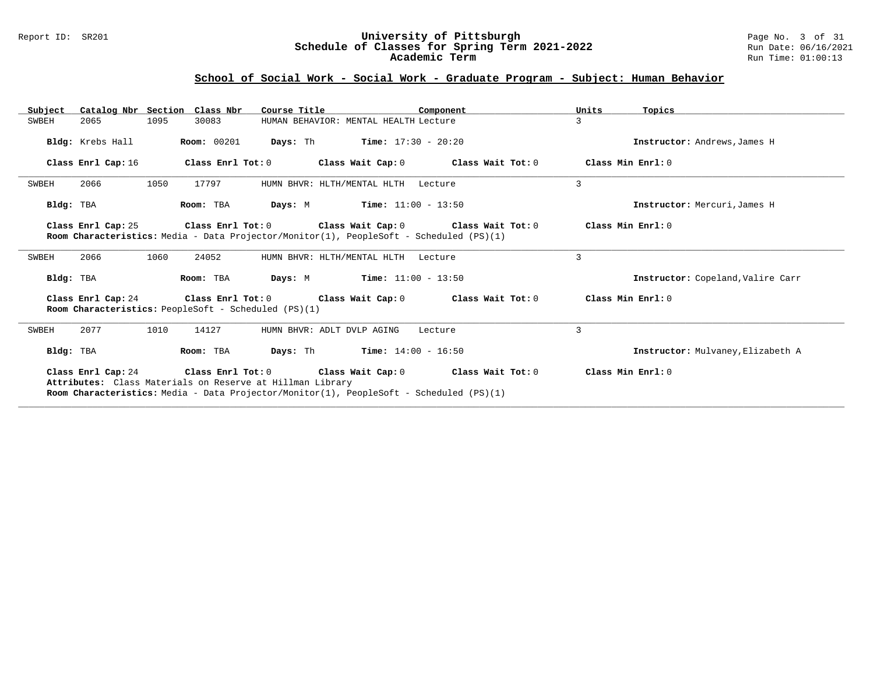#### Report ID: SR201 **University of Pittsburgh** Page No. 3 of 31 **Schedule of Classes for Spring Term 2021-2022** Run Date: 06/16/2021 **Academic Term** Run Time: 01:00:13

### **School of Social Work - Social Work - Graduate Program - Subject: Human Behavior**

| Subject<br>Catalog Nbr Section Class Nbr | Course Title                                              | Component                                                                                                                                                           | Units<br>Topics                   |
|------------------------------------------|-----------------------------------------------------------|---------------------------------------------------------------------------------------------------------------------------------------------------------------------|-----------------------------------|
| 1095<br>SWBEH<br>2065                    | 30083                                                     | HUMAN BEHAVIOR: MENTAL HEALTH Lecture                                                                                                                               | 3                                 |
| Bldg: Krebs Hall                         | <b>Room:</b> 00201                                        | <b>Days:</b> Th <b>Time:</b> $17:30 - 20:20$                                                                                                                        | Instructor: Andrews, James H      |
| Class Enrl Cap: 16                       | Class Enrl Tot: 0                                         | Class Wait Cap: $0$ Class Wait Tot: $0$ Class Min Enrl: $0$                                                                                                         |                                   |
| SWBEH<br>2066<br>1050                    | 17797                                                     | HUMN BHVR: HLTH/MENTAL HLTH<br>Lecture                                                                                                                              | 3                                 |
| Bldg: TBA                                | Room: TBA                                                 | <b>Days:</b> M <b>Time:</b> $11:00 - 13:50$                                                                                                                         | Instructor: Mercuri, James H      |
| Class Enrl Cap: 25                       |                                                           | Class Enrl Tot: $0$ Class Wait Cap: $0$ Class Wait Tot: $0$<br>Room Characteristics: Media - Data Projector/Monitor(1), PeopleSoft - Scheduled (PS)(1)              | Class Min Enrl: 0                 |
| 2066<br>1060<br>SWBEH                    | 24052                                                     | HUMN BHVR: HLTH/MENTAL HLTH<br>Lecture                                                                                                                              | 3                                 |
| Bldg: TBA                                | Room: TBA                                                 | <b>Days:</b> M <b>Time:</b> $11:00 - 13:50$                                                                                                                         | Instructor: Copeland, Valire Carr |
|                                          | Room Characteristics: PeopleSoft - Scheduled (PS)(1)      | Class Enrl Cap: 24 Class Enrl Tot: 0 Class Wait Cap: 0 Class Wait Tot: 0                                                                                            | Class Min Enri: 0                 |
| SWBEH<br>2077<br>1010                    | 14127                                                     | HUMN BHVR: ADLT DVLP AGING<br>Lecture                                                                                                                               | 3                                 |
| Bldg: TBA                                | Room: TBA                                                 | <b>Days:</b> Th <b>Time:</b> $14:00 - 16:50$                                                                                                                        | Instructor: Mulvaney, Elizabeth A |
|                                          | Attributes: Class Materials on Reserve at Hillman Library | Class Enrl Cap: 24 Class Enrl Tot: 0 Class Wait Cap: 0 Class Wait Tot: 0<br>Room Characteristics: Media - Data Projector/Monitor(1), PeopleSoft - Scheduled (PS)(1) | Class Min Enrl: 0                 |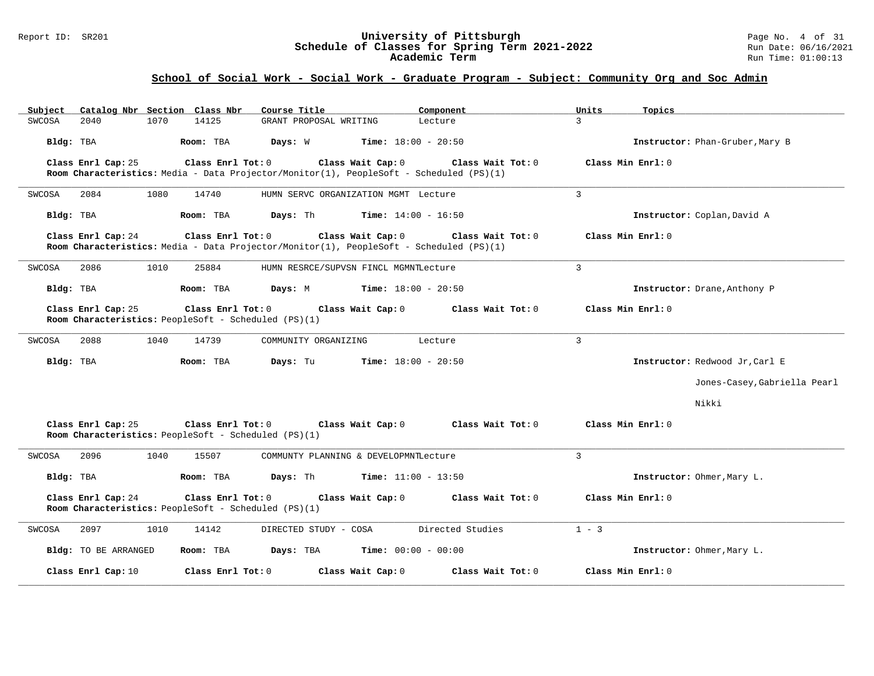#### Report ID: SR201 **University of Pittsburgh** Page No. 4 of 31 **Schedule of Classes for Spring Term 2021-2022** Run Date: 06/16/2021 **Academic Term** Run Time: 01:00:13

### **School of Social Work - Social Work - Graduate Program - Subject: Community Org and Soc Admin**

| Catalog Nbr Section Class Nbr<br>Subject | Course Title                                                                                                                      | Component                    | Units<br>Topics                 |
|------------------------------------------|-----------------------------------------------------------------------------------------------------------------------------------|------------------------------|---------------------------------|
| SWCOSA<br>2040<br>1070                   | 14125<br>GRANT PROPOSAL WRITING                                                                                                   | Lecture                      | $\mathcal{L}$                   |
| Bldg: TBA                                | Room: TBA<br>Days: W                                                                                                              | <b>Time:</b> $18:00 - 20:50$ | Instructor: Phan-Gruber, Mary B |
| Class Enrl Cap: 25                       | Class Enrl Tot: 0<br>Class Wait Cap: 0<br>Room Characteristics: Media - Data Projector/Monitor(1), PeopleSoft - Scheduled (PS)(1) | Class Wait Tot: 0            | Class Min Enrl: 0               |
| SWCOSA<br>2084<br>1080                   | 14740<br>HUMN SERVC ORGANIZATION MGMT Lecture                                                                                     |                              | $\overline{3}$                  |
| Bldg: TBA                                | Room: TBA<br>Days: Th                                                                                                             | <b>Time:</b> $14:00 - 16:50$ | Instructor: Coplan, David A     |
| Class Enrl Cap: 24                       | Class Enrl Tot: 0<br>Class Wait Cap: 0<br>Room Characteristics: Media - Data Projector/Monitor(1), PeopleSoft - Scheduled (PS)(1) | Class Wait $Tot: 0$          | Class Min $Enrl: 0$             |
| SWCOSA<br>2086<br>1010                   | 25884<br>HUMN RESRCE/SUPVSN FINCL MGMNTLecture                                                                                    |                              | 3                               |
| Bldg: TBA                                | Room: TBA<br>Days: M                                                                                                              | <b>Time:</b> $18:00 - 20:50$ | Instructor: Drane, Anthony P    |
| Class Enrl Cap: 25                       | Class Enrl Tot: 0 Class Wait Cap: 0<br>Room Characteristics: PeopleSoft - Scheduled (PS)(1)                                       | Class Wait Tot: $0$          | Class Min Enrl: 0               |
| 2088<br>1040<br>SWCOSA                   | 14739<br>COMMUNITY ORGANIZING                                                                                                     | Lecture                      | 3                               |
| Bldg: TBA                                | Days: Tu<br>Room: TBA                                                                                                             | <b>Time:</b> $18:00 - 20:50$ | Instructor: Redwood Jr, Carl E  |
|                                          |                                                                                                                                   |                              | Jones-Casey, Gabriella Pearl    |
|                                          |                                                                                                                                   |                              | Nikki                           |
| Class Enrl Cap: 25                       | Class Enrl Tot: 0<br>Class Wait Cap: 0<br>Room Characteristics: PeopleSoft - Scheduled (PS)(1)                                    | Class Wait Tot: 0            | Class Min Enrl: 0               |
| 2096<br>1040<br>SWCOSA                   | 15507<br>COMMUNTY PLANNING & DEVELOPMNTLecture                                                                                    |                              | $\mathbf{3}$                    |
| Bldg: TBA                                | Room: TBA<br>Days: Th                                                                                                             | <b>Time:</b> $11:00 - 13:50$ | Instructor: Ohmer, Mary L.      |
| Class Enrl Cap: 24                       | Class Enrl Tot: 0<br>Class Wait Cap: 0<br>Room Characteristics: PeopleSoft - Scheduled (PS)(1)                                    | Class Wait Tot: 0            | Class Min Enrl: 0               |
| SWCOSA<br>2097<br>1010                   | 14142<br>DIRECTED STUDY - COSA                                                                                                    | Directed Studies             | $1 - 3$                         |
| Bldg: TO BE ARRANGED                     | Room: TBA<br>Days: TBA                                                                                                            | <b>Time:</b> $00:00 - 00:00$ | Instructor: Ohmer, Mary L.      |
| Class Enrl Cap: 10                       | Class Enrl Tot: 0<br>Class Wait Cap: 0                                                                                            | Class Wait Tot: 0            | Class Min Enrl: 0               |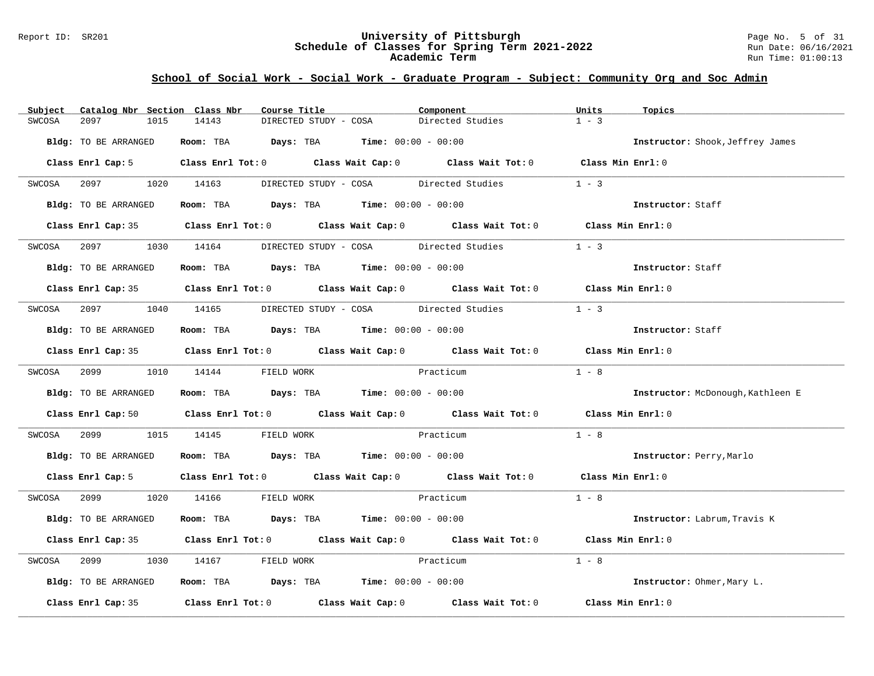#### Report ID: SR201 **University of Pittsburgh** Page No. 5 of 31 **Schedule of Classes for Spring Term 2021-2022** Run Date: 06/16/2021 **Academic Term** Run Time: 01:00:13

### **School of Social Work - Social Work - Graduate Program - Subject: Community Org and Soc Admin**

| Catalog Nbr Section Class Nbr<br>Subject | Course Title                                                                                                                   | Component        | Units<br>Topics                   |
|------------------------------------------|--------------------------------------------------------------------------------------------------------------------------------|------------------|-----------------------------------|
| 2097<br>SWCOSA<br>1015                   | 14143<br>DIRECTED STUDY - COSA                                                                                                 | Directed Studies | $1 - 3$                           |
| Bldg: TO BE ARRANGED                     | Room: TBA $Days:$ TBA $Time: 00:00 - 00:00$                                                                                    |                  | Instructor: Shook, Jeffrey James  |
|                                          | Class Enrl Cap: 5 Class Enrl Tot: 0 Class Wait Cap: 0 Class Wait Tot: 0 Class Min Enrl: 0                                      |                  |                                   |
|                                          | SWCOSA 2097 1020 14163 DIRECTED STUDY - COSA Directed Studies                                                                  |                  | $1 - 3$                           |
| Bldg: TO BE ARRANGED                     | Room: TBA $Days:$ TBA $Time: 00:00 - 00:00$                                                                                    |                  | Instructor: Staff                 |
|                                          | Class Enrl Cap: 35 Class Enrl Tot: 0 Class Wait Cap: 0 Class Wait Tot: 0 Class Min Enrl: 0                                     |                  |                                   |
|                                          | SWCOSA 2097 1030 14164 DIRECTED STUDY - COSA Directed Studies                                                                  |                  | $1 - 3$                           |
| Bldg: TO BE ARRANGED                     | Room: TBA $Days:$ TBA Time: $00:00 - 00:00$                                                                                    |                  | Instructor: Staff                 |
|                                          | Class Enrl Cap: 35 Class Enrl Tot: 0 Class Wait Cap: 0 Class Wait Tot: 0 Class Min Enrl: 0                                     |                  |                                   |
|                                          | SWCOSA 2097 1040 14165 DIRECTED STUDY - COSA Directed Studies                                                                  |                  | $1 - 3$                           |
| Bldg: TO BE ARRANGED                     | Room: TBA $Days:$ TBA $Time: 00:00 - 00:00$                                                                                    |                  | Instructor: Staff                 |
|                                          | Class Enrl Cap: 35 Class Enrl Tot: 0 Class Wait Cap: 0 Class Wait Tot: 0 Class Min Enrl: 0                                     |                  |                                   |
|                                          | SWCOSA 2099 1010 14144 FIELD WORK                                                                                              | Practicum        | $1 - 8$                           |
| Bldg: TO BE ARRANGED                     | Room: TBA $Days:$ TBA $Time: 00:00 - 00:00$                                                                                    |                  | Instructor: McDonough, Kathleen E |
|                                          | Class Enrl Cap: 50 $\qquad$ Class Enrl Tot: 0 $\qquad$ Class Wait Cap: 0 $\qquad$ Class Wait Tot: 0 $\qquad$ Class Min Enrl: 0 |                  |                                   |
| SWCOSA                                   | 2099 1015 14145 FIELD WORK<br>Practicum                                                                                        |                  | $1 - 8$                           |
| Bldg: TO BE ARRANGED                     | Room: TBA $Days:$ TBA $Time: 00:00 - 00:00$                                                                                    |                  | Instructor: Perry, Marlo          |
|                                          | Class Enrl Cap: 5 Class Enrl Tot: 0 Class Wait Cap: 0 Class Wait Tot: 0 Class Min Enrl: 0                                      |                  |                                   |
|                                          | SWCOSA 2099 1020 14166 FIELD WORK                                                                                              | Practicum        | $1 - 8$                           |
| Bldg: TO BE ARRANGED                     | Room: TBA $Days:$ TBA $Time: 00:00 - 00:00$                                                                                    |                  | Instructor: Labrum, Travis K      |
|                                          | Class Enrl Cap: 35 Class Enrl Tot: 0 Class Wait Cap: 0 Class Wait Tot: 0 Class Min Enrl: 0                                     |                  |                                   |
| SWCOSA<br>2099 — 200                     | 1030 14167 FIELD WORK                                                                                                          | Practicum        | $1 - 8$                           |
| Bldg: TO BE ARRANGED                     | Room: TBA $Days:$ TBA $Time:$ $00:00 - 00:00$                                                                                  |                  | Instructor: Ohmer, Mary L.        |
|                                          | Class Enrl Cap: 35 Class Enrl Tot: 0 Class Wait Cap: 0 Class Wait Tot: 0 Class Min Enrl: 0                                     |                  |                                   |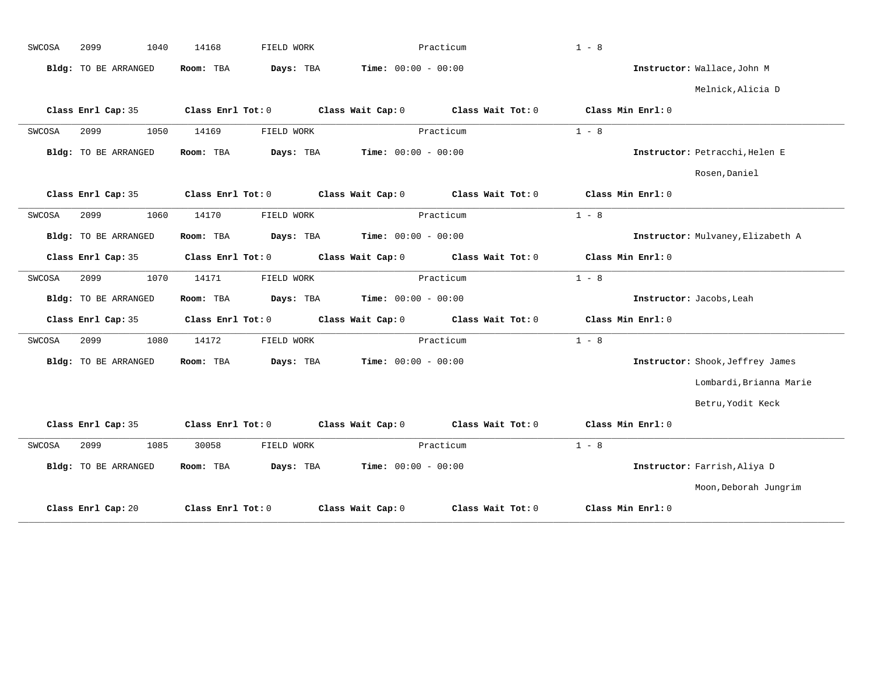| SWCOSA | 2099                 | 1040<br>14168 | FIELD WORK        |                              | Practicum                           | $1 - 8$           |                   |                                   |
|--------|----------------------|---------------|-------------------|------------------------------|-------------------------------------|-------------------|-------------------|-----------------------------------|
|        | Bldg: TO BE ARRANGED | Room: TBA     | Days: TBA         | <b>Time:</b> $00:00 - 00:00$ |                                     |                   |                   | Instructor: Wallace, John M       |
|        |                      |               |                   |                              |                                     |                   |                   | Melnick, Alicia D                 |
|        | Class Enrl Cap: 35   |               | Class Enrl Tot: 0 |                              | Class Wait Cap: 0 Class Wait Tot: 0 | Class Min Enrl: 0 |                   |                                   |
| SWCOSA | 2099                 | 1050<br>14169 | FIELD WORK        |                              | Practicum                           | $1 - 8$           |                   |                                   |
|        | Bldg: TO BE ARRANGED | Room: TBA     | Days: TBA         | $Time: 00:00 - 00:00$        |                                     |                   |                   | Instructor: Petracchi, Helen E    |
|        |                      |               |                   |                              |                                     |                   |                   | Rosen, Daniel                     |
|        | Class Enrl Cap: 35   |               | Class Enrl Tot: 0 | Class Wait Cap: 0            | Class Wait Tot: 0                   |                   | Class Min Enrl: 0 |                                   |
| SWCOSA | 2099                 | 1060<br>14170 | FIELD WORK        |                              | Practicum                           | $1 - 8$           |                   |                                   |
|        | Bldg: TO BE ARRANGED | Room: TBA     | Days: TBA         | $Time: 00:00 - 00:00$        |                                     |                   |                   | Instructor: Mulvaney, Elizabeth A |
|        | Class Enrl Cap: 35   |               | Class Enrl Tot: 0 | Class Wait Cap: 0            | Class Wait Tot: 0                   |                   | Class Min Enrl: 0 |                                   |
| SWCOSA | 2099                 | 1070<br>14171 | FIELD WORK        |                              | Practicum                           | $1 - 8$           |                   |                                   |
|        | Bldg: TO BE ARRANGED | Room: TBA     | Days: TBA         | $Time: 00:00 - 00:00$        |                                     |                   |                   | Instructor: Jacobs, Leah          |
|        | Class Enrl Cap: 35   |               | Class Enrl Tot: 0 | Class Wait Cap: 0            | Class Wait Tot: 0                   |                   | Class Min Enrl: 0 |                                   |
| SWCOSA | 2099                 | 1080<br>14172 | FIELD WORK        |                              | Practicum                           | $1 - 8$           |                   |                                   |
|        | Bldg: TO BE ARRANGED | Room: TBA     | Days: TBA         | Time: $00:00 - 00:00$        |                                     |                   |                   | Instructor: Shook, Jeffrey James  |
|        |                      |               |                   |                              |                                     |                   |                   | Lombardi, Brianna Marie           |
|        |                      |               |                   |                              |                                     |                   |                   | Betru, Yodit Keck                 |
|        | Class Enrl Cap: 35   |               | Class Enrl Tot: 0 | Class Wait Cap: 0            | Class Wait Tot: 0                   |                   | Class Min Enrl: 0 |                                   |
| SWCOSA | 2099                 | 1085<br>30058 | FIELD WORK        |                              | Practicum                           | $1 - 8$           |                   |                                   |
|        | Bldg: TO BE ARRANGED | Room: TBA     | Days: TBA         | <b>Time:</b> $00:00 - 00:00$ |                                     |                   |                   | Instructor: Farrish, Aliya D      |
|        |                      |               |                   |                              |                                     |                   |                   | Moon, Deborah Jungrim             |
|        | Class Enrl Cap: 20   |               | Class Enrl Tot: 0 | Class Wait Cap: 0            | Class Wait Tot: 0                   | Class Min Enrl: 0 |                   |                                   |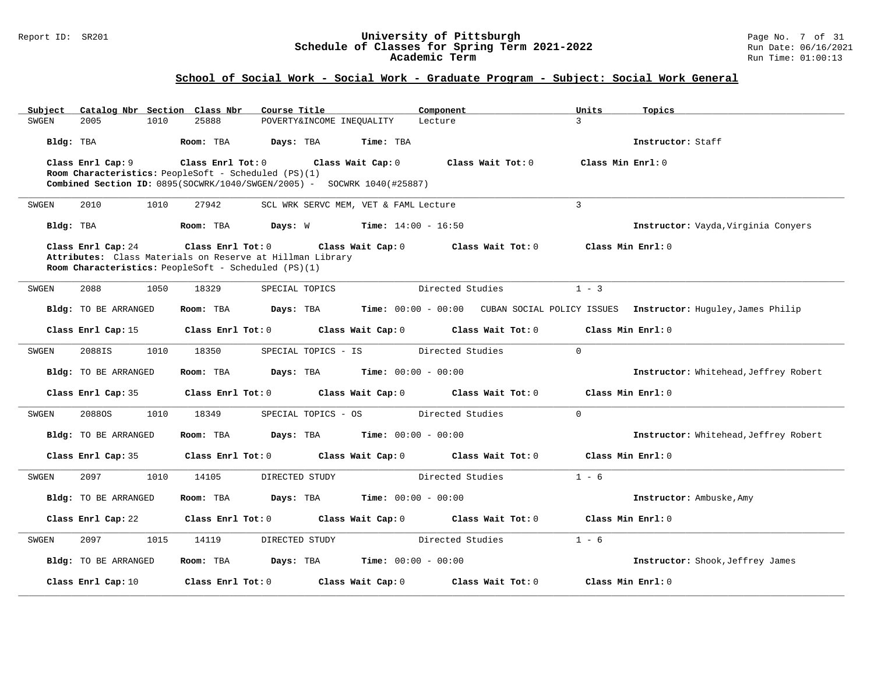#### Report ID: SR201 **University of Pittsburgh** Page No. 7 of 31 **Schedule of Classes for Spring Term 2021-2022** Run Date: 06/16/2021 **Academic Term** Run Time: 01:00:13

| Subject   |                                                           |      | Catalog Nbr Section Class Nbr       | Course Title   |                     |                                                                         | Component         |                   | Units             | Topics                                                                           |
|-----------|-----------------------------------------------------------|------|-------------------------------------|----------------|---------------------|-------------------------------------------------------------------------|-------------------|-------------------|-------------------|----------------------------------------------------------------------------------|
| SWGEN     | 2005                                                      | 1010 | 25888                               |                |                     | POVERTY& INCOME INEQUALITY                                              | Lecture           |                   | $\mathbf{R}$      |                                                                                  |
| Bldg: TBA |                                                           |      | Room: TBA                           | Days: TBA      |                     | Time: TBA                                                               |                   |                   |                   | Instructor: Staff                                                                |
|           | Class Enrl Cap: 9                                         |      | Class Enrl Tot: 0 Class Wait Cap: 0 |                |                     |                                                                         | Class Wait Tot: 0 |                   | Class Min Enrl: 0 |                                                                                  |
|           | Room Characteristics: PeopleSoft - Scheduled (PS)(1)      |      |                                     |                |                     |                                                                         |                   |                   |                   |                                                                                  |
|           |                                                           |      |                                     |                |                     | Combined Section ID: 0895(SOCWRK/1040/SWGEN/2005) - SOCWRK 1040(#25887) |                   |                   |                   |                                                                                  |
| SWGEN     | 2010                                                      | 1010 | 27942                               |                |                     | SCL WRK SERVC MEM, VET & FAML Lecture                                   |                   |                   | $\mathbf{3}$      |                                                                                  |
| Bldg: TBA |                                                           |      | Room: TBA                           |                | Days: W             | <b>Time:</b> $14:00 - 16:50$                                            |                   |                   |                   | Instructor: Vayda, Virginia Conyers                                              |
|           | Class Enrl Cap: 24                                        |      | Class Enrl Tot: 0                   |                |                     | Class Wait Cap: 0                                                       |                   | Class Wait Tot: 0 | Class Min Enrl: 0 |                                                                                  |
|           | Attributes: Class Materials on Reserve at Hillman Library |      |                                     |                |                     |                                                                         |                   |                   |                   |                                                                                  |
|           | Room Characteristics: PeopleSoft - Scheduled (PS)(1)      |      |                                     |                |                     |                                                                         |                   |                   |                   |                                                                                  |
| SWGEN     | 2088                                                      | 1050 | 18329                               | SPECIAL TOPICS |                     |                                                                         | Directed Studies  |                   | $1 - 3$           |                                                                                  |
|           | Bldg: TO BE ARRANGED                                      |      | Room: TBA                           | Days: TBA      |                     |                                                                         |                   |                   |                   | Time: 00:00 - 00:00 CUBAN SOCIAL POLICY ISSUES Instructor: Huguley, James Philip |
|           | Class Enrl Cap: 15                                        |      | Class Enrl Tot: 0                   |                |                     | Class Wait Cap: 0 Class Wait Tot: 0                                     |                   |                   | Class Min Enrl: 0 |                                                                                  |
| SWGEN     | 2088IS                                                    | 1010 | 18350                               |                | SPECIAL TOPICS - IS |                                                                         | Directed Studies  |                   | $\Omega$          |                                                                                  |
|           | Bldg: TO BE ARRANGED                                      |      | Room: TBA                           | Days: TBA      |                     | <b>Time:</b> $00:00 - 00:00$                                            |                   |                   |                   | Instructor: Whitehead, Jeffrey Robert                                            |
|           | Class Enrl Cap: 35                                        |      | Class Enrl Tot: 0                   |                |                     | Class Wait Cap: 0                                                       | Class Wait Tot: 0 |                   | Class Min Enrl: 0 |                                                                                  |
| SWGEN     | 20880S                                                    | 1010 | 18349                               |                | SPECIAL TOPICS - OS |                                                                         | Directed Studies  |                   | $\Omega$          |                                                                                  |
|           | Bldg: TO BE ARRANGED                                      |      | Room: TBA                           | Days: TBA      |                     | <b>Time:</b> $00:00 - 00:00$                                            |                   |                   |                   | Instructor: Whitehead, Jeffrey Robert                                            |
|           | Class Enrl Cap: 35                                        |      | Class Enrl Tot: 0                   |                |                     | Class Wait Cap: 0                                                       | Class Wait Tot: 0 |                   | Class Min Enrl: 0 |                                                                                  |
| SWGEN     | 2097                                                      | 1010 | 14105                               | DIRECTED STUDY |                     |                                                                         | Directed Studies  |                   | $1 - 6$           |                                                                                  |
|           | Bldg: TO BE ARRANGED                                      |      | Room: TBA                           | Days: TBA      |                     | <b>Time:</b> $00:00 - 00:00$                                            |                   |                   |                   | Instructor: Ambuske, Amy                                                         |
|           | Class Enrl Cap: 22                                        |      | Class Enrl Tot: 0                   |                |                     | Class Wait Cap: 0 Class Wait Tot: 0                                     |                   |                   | Class Min Enrl: 0 |                                                                                  |
| SWGEN     | 2097                                                      | 1015 | 14119                               | DIRECTED STUDY |                     |                                                                         | Directed Studies  |                   | $1 - 6$           |                                                                                  |
|           | <b>Bldg:</b> TO BE ARRANGED                               |      | Room: TBA                           |                |                     | <b>Days:</b> TBA <b>Time:</b> $00:00 - 00:00$                           |                   |                   |                   | Instructor: Shook, Jeffrey James                                                 |
|           | Class Enrl Cap: 10                                        |      | Class Enrl Tot: 0                   |                |                     | Class Wait Cap: 0                                                       |                   | Class Wait Tot: 0 | Class Min Enrl: 0 |                                                                                  |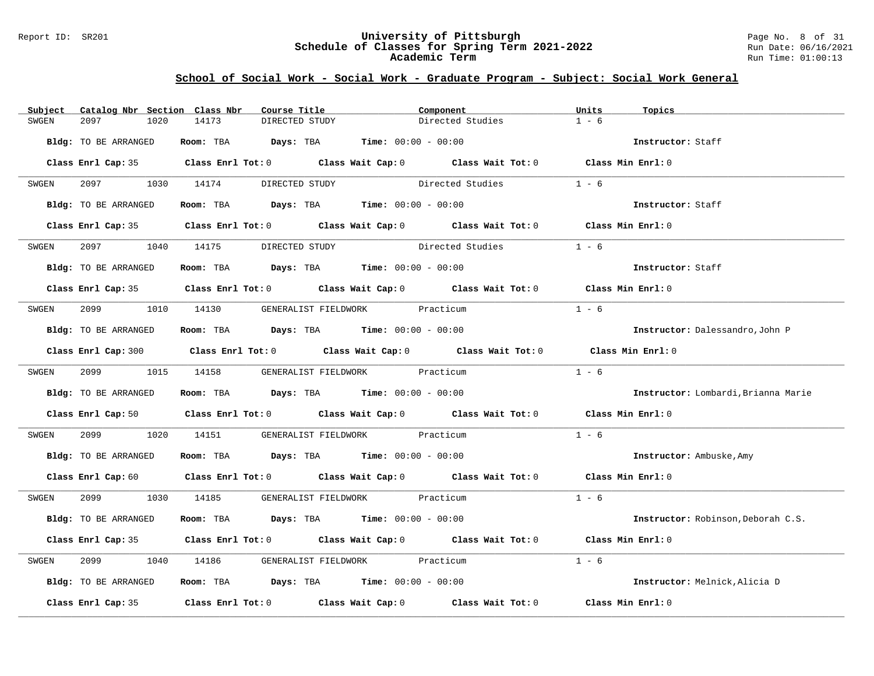#### Report ID: SR201 **University of Pittsburgh** Page No. 8 of 31 **Schedule of Classes for Spring Term 2021-2022** Run Date: 06/16/2021 **Academic Term** Run Time: 01:00:13

| Subject              | Catalog Nbr Section Class Nbr |       | Course Title                   | Component                                                                             |                                                                                                                                | Units             | Topics                              |
|----------------------|-------------------------------|-------|--------------------------------|---------------------------------------------------------------------------------------|--------------------------------------------------------------------------------------------------------------------------------|-------------------|-------------------------------------|
| 2097<br>SWGEN        | 1020                          | 14173 | DIRECTED STUDY                 |                                                                                       | Directed Studies                                                                                                               | $1 - 6$           |                                     |
| Bldg: TO BE ARRANGED |                               |       |                                | Room: TBA $Days:$ TBA $Time: 00:00 - 00:00$                                           |                                                                                                                                |                   | Instructor: Staff                   |
|                      |                               |       |                                |                                                                                       | Class Enrl Cap: 35 Class Enrl Tot: 0 Class Wait Cap: 0 Class Wait Tot: 0 Class Min Enrl: 0                                     |                   |                                     |
| SWGEN                |                               |       | 2097 1030 14174 DIRECTED STUDY | Directed Studies                                                                      |                                                                                                                                | $1 - 6$           |                                     |
| Bldg: TO BE ARRANGED |                               |       |                                | Room: TBA $Days:$ TBA $Time: 00:00 - 00:00$                                           |                                                                                                                                |                   | Instructor: Staff                   |
|                      |                               |       |                                |                                                                                       | Class Enrl Cap: 35 Class Enrl Tot: 0 Class Wait Cap: 0 Class Wait Tot: 0 Class Min Enrl: 0                                     |                   |                                     |
| SWGEN                | 2097 — 2007                   |       | 1040 14175 DIRECTED STUDY      | Directed Studies                                                                      |                                                                                                                                | $1 - 6$           |                                     |
| Bldg: TO BE ARRANGED |                               |       |                                | Room: TBA $\rule{1em}{0.15mm}$ Days: TBA $\rule{1.5mm}{0.15mm}$ Time: $00:00 - 00:00$ |                                                                                                                                |                   | Instructor: Staff                   |
|                      |                               |       |                                |                                                                                       | Class Enrl Cap: 35 Class Enrl Tot: 0 Class Wait Cap: 0 Class Wait Tot: 0 Class Min Enrl: 0                                     |                   |                                     |
| SWGEN                |                               |       |                                | 2099 1010 14130 GENERALIST FIELDWORK Practicum                                        |                                                                                                                                | $1 - 6$           |                                     |
| Bldg: TO BE ARRANGED |                               |       |                                | Room: TBA $Days:$ TBA $Time: 00:00 - 00:00$                                           |                                                                                                                                |                   | Instructor: Dalessandro, John P     |
|                      |                               |       |                                |                                                                                       | Class Enrl Cap: 300 Class Enrl Tot: 0 Class Wait Cap: 0 Class Wait Tot: 0 Class Min Enrl: 0                                    |                   |                                     |
| SWGEN                |                               |       |                                | 2099 1015 14158 GENERALIST FIELDWORK Practicum                                        |                                                                                                                                | $1 - 6$           |                                     |
| Bldg: TO BE ARRANGED |                               |       |                                | Room: TBA $Days:$ TBA $Time: 00:00 - 00:00$                                           |                                                                                                                                |                   | Instructor: Lombardi, Brianna Marie |
|                      |                               |       |                                |                                                                                       | Class Enrl Cap: 50 $\qquad$ Class Enrl Tot: 0 $\qquad$ Class Wait Cap: 0 $\qquad$ Class Wait Tot: 0 $\qquad$ Class Min Enrl: 0 |                   |                                     |
| SWGEN                | 2099 70<br>1020               |       |                                | 14151 GENERALIST FIELDWORK Practicum                                                  |                                                                                                                                | $1 - 6$           |                                     |
| Bldg: TO BE ARRANGED |                               |       |                                | Room: TBA $Days:$ TBA $Time: 00:00 - 00:00$                                           |                                                                                                                                |                   | Instructor: Ambuske, Amy            |
|                      |                               |       |                                |                                                                                       | Class Enrl Cap: 60 $\qquad$ Class Enrl Tot: 0 $\qquad$ Class Wait Cap: 0 $\qquad$ Class Wait Tot: 0 $\qquad$ Class Min Enrl: 0 |                   |                                     |
| SWGEN                |                               |       |                                | 2099 1030 14185 GENERALIST FIELDWORK Practicum                                        |                                                                                                                                | $1 - 6$           |                                     |
| Bldg: TO BE ARRANGED |                               |       |                                | Room: TBA $Days:$ TBA $Time: 00:00 - 00:00$                                           |                                                                                                                                |                   | Instructor: Robinson, Deborah C.S.  |
|                      |                               |       |                                |                                                                                       | Class Enrl Cap: 35 Class Enrl Tot: 0 Class Wait Cap: 0 Class Wait Tot: 0 Class Min Enrl: 0                                     |                   |                                     |
| 2099<br>SWGEN        | 1040                          |       |                                | 14186 GENERALIST FIELDWORK Practicum                                                  |                                                                                                                                | $1 - 6$           |                                     |
| Bldg: TO BE ARRANGED |                               |       |                                | Room: TBA $Days:$ TBA $Time: 00:00 - 00:00$                                           |                                                                                                                                |                   | Instructor: Melnick, Alicia D       |
|                      |                               |       |                                |                                                                                       | Class Enrl Cap: 35 $\qquad$ Class Enrl Tot: 0 $\qquad$ Class Wait Cap: 0 $\qquad$ Class Wait Tot: 0                            | Class Min Enrl: 0 |                                     |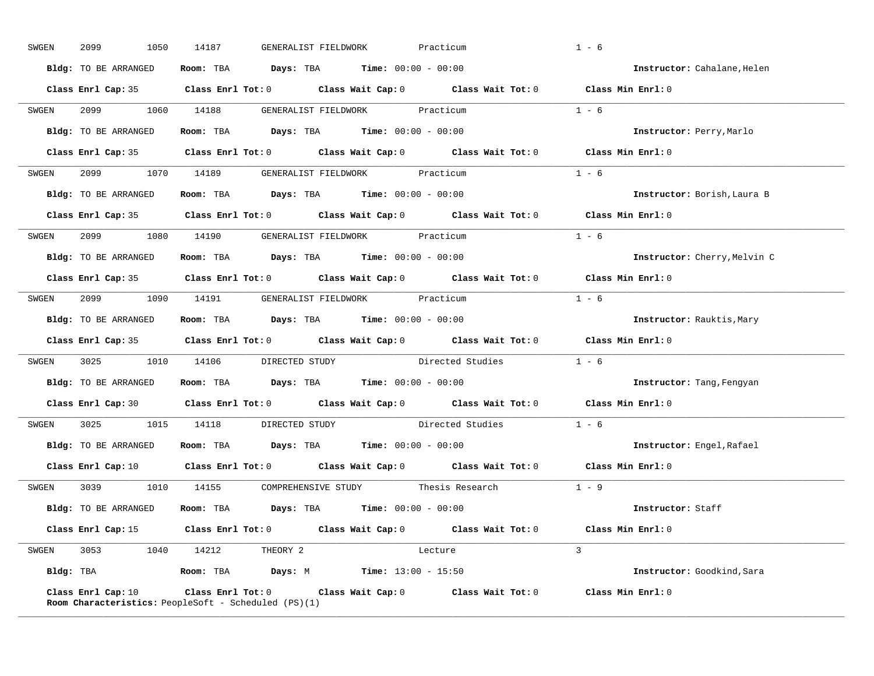| SWGEN | 2099<br>1050         | 14187<br>GENERALIST FIELDWORK                                                              | Practicum                                                                                  | $1 - 6$                      |
|-------|----------------------|--------------------------------------------------------------------------------------------|--------------------------------------------------------------------------------------------|------------------------------|
|       | Bldg: TO BE ARRANGED | Room: TBA $Days:$ TBA $Time: 00:00 - 00:00$                                                |                                                                                            | Instructor: Cahalane, Helen  |
|       |                      |                                                                                            | Class Enrl Cap: 35 Class Enrl Tot: 0 Class Wait Cap: 0 Class Wait Tot: 0 Class Min Enrl: 0 |                              |
| SWGEN |                      |                                                                                            | 2099 1060 14188 GENERALIST FIELDWORK Practicum                                             | $1 - 6$                      |
|       | Bldg: TO BE ARRANGED | Room: TBA $Days:$ TBA $Time: 00:00 - 00:00$                                                |                                                                                            | Instructor: Perry, Marlo     |
|       |                      |                                                                                            | Class Enrl Cap: 35 Class Enrl Tot: 0 Class Wait Cap: 0 Class Wait Tot: 0 Class Min Enrl: 0 |                              |
|       |                      | SWGEN 2099 1070 14189 GENERALIST FIELDWORK Practicum                                       |                                                                                            | $1 - 6$                      |
|       |                      | <b>Bldg:</b> TO BE ARRANGED <b>Room:</b> TBA <b>Days:</b> TBA <b>Time:</b> $00:00 - 00:00$ |                                                                                            | Instructor: Borish, Laura B  |
|       |                      |                                                                                            | Class Enrl Cap: 35 Class Enrl Tot: 0 Class Wait Cap: 0 Class Wait Tot: 0                   | Class Min Enrl: 0            |
|       |                      | SWGEN 2099 1080 14190 GENERALIST_FIELDWORK Practicum                                       |                                                                                            | $1 - 6$                      |
|       | Bldg: TO BE ARRANGED | Room: TBA $Days:$ TBA $Time: 00:00 - 00:00$                                                |                                                                                            | Instructor: Cherry, Melvin C |
|       |                      |                                                                                            | Class Enrl Cap: 35 Class Enrl Tot: 0 Class Wait Cap: 0 Class Wait Tot: 0 Class Min Enrl: 0 |                              |
|       |                      |                                                                                            | SWGEN 2099 1090 14191 GENERALIST FIELDWORK Practicum                                       | $1 - 6$                      |
|       |                      | <b>Bldg:</b> TO BE ARRANGED <b>ROOM:</b> TBA <b>Days:</b> TBA <b>Time:</b> $00:00 - 00:00$ |                                                                                            | Instructor: Rauktis, Mary    |
|       |                      |                                                                                            |                                                                                            |                              |
|       |                      |                                                                                            | Class Enrl Cap: 35 Class Enrl Tot: 0 Class Wait Cap: 0 Class Wait Tot: 0 Class Min Enrl: 0 |                              |
| SWGEN |                      |                                                                                            | 3025 1010 14106 DIRECTED STUDY Directed Studies 1 - 6                                      |                              |
|       |                      | Bldg: TO BE ARRANGED Room: TBA Days: TBA Time: 00:00 - 00:00                               |                                                                                            | Instructor: Tang, Fengyan    |
|       |                      |                                                                                            | Class Enrl Cap: 30 Class Enrl Tot: 0 Class Wait Cap: 0 Class Wait Tot: 0 Class Min Enrl: 0 |                              |
| SWGEN |                      |                                                                                            | 3025 1015 14118 DIRECTED STUDY Directed Studies                                            | $1 - 6$                      |
|       |                      | Bldg: TO BE ARRANGED ROOM: TBA Days: TBA Time: 00:00 - 00:00                               |                                                                                            | Instructor: Engel, Rafael    |
|       |                      |                                                                                            | Class Enrl Cap: 10 Class Enrl Tot: 0 Class Wait Cap: 0 Class Wait Tot: 0                   | Class Min Enrl: 0            |
|       |                      |                                                                                            | SWGEN 3039 1010 14155 COMPREHENSIVE STUDY Thesis Research                                  | $1 - 9$                      |
|       |                      | Bldg: TO BE ARRANGED Room: TBA Days: TBA Time: 00:00 - 00:00                               |                                                                                            | <b>Instructor:</b> Staff     |
|       |                      |                                                                                            | Class Enrl Cap: 15 Class Enrl Tot: 0 Class Wait Cap: 0 Class Wait Tot: 0 Class Min Enrl: 0 |                              |
|       |                      | SWGEN 3053 1040 14212 THEORY 2                                                             | <b>Example 19</b> Lecture                                                                  | $\mathcal{L}$                |
|       |                      | Bldg: TBA                  Room: TBA        Days: M          Time: 13:00 - 15:50           |                                                                                            | Instructor: Goodkind, Sara   |

**\_\_\_\_\_\_\_\_\_\_\_\_\_\_\_\_\_\_\_\_\_\_\_\_\_\_\_\_\_\_\_\_\_\_\_\_\_\_\_\_\_\_\_\_\_\_\_\_\_\_\_\_\_\_\_\_\_\_\_\_\_\_\_\_\_\_\_\_\_\_\_\_\_\_\_\_\_\_\_\_\_\_\_\_\_\_\_\_\_\_\_\_\_\_\_\_\_\_\_\_\_\_\_\_\_\_\_\_\_\_\_\_\_\_\_\_\_\_\_\_\_\_\_\_\_\_\_\_\_\_\_\_\_\_\_\_\_\_\_\_\_\_\_\_\_\_\_\_\_\_\_\_\_\_\_\_**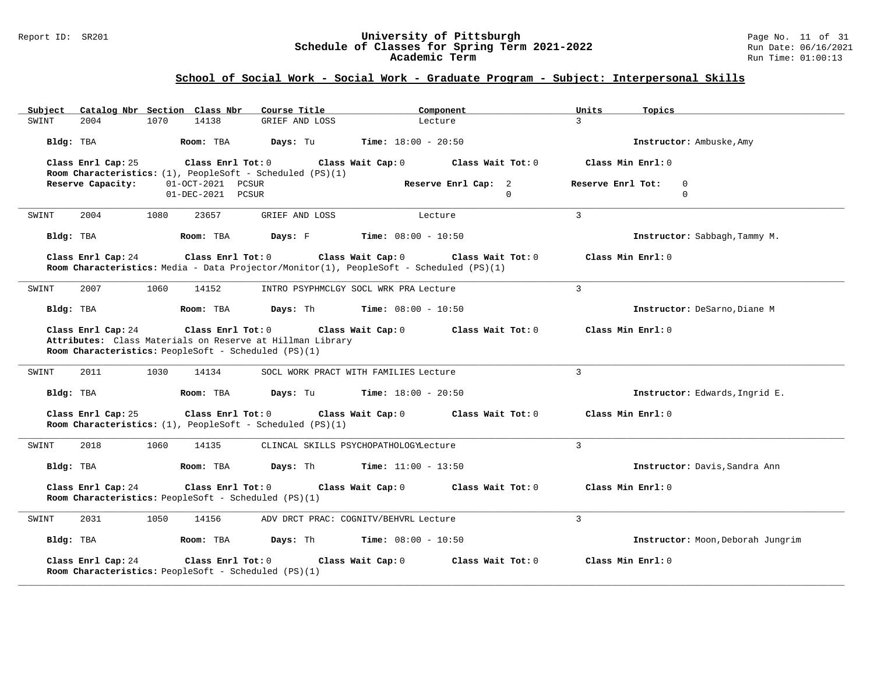#### Report ID: SR201 **University of Pittsburgh** Page No. 11 of 31 **Schedule of Classes for Spring Term 2021-2022** Run Date: 06/16/2021 **Academic Term** Run Time: 01:00:13

| Catalog Nbr Section Class Nbr<br>Subject                                   | Course Title                                                                                                 | Component                              | Units<br>Topics                              |
|----------------------------------------------------------------------------|--------------------------------------------------------------------------------------------------------------|----------------------------------------|----------------------------------------------|
| 2004<br>1070<br>SWINT                                                      | 14138<br>GRIEF AND LOSS                                                                                      | Lecture                                | $\mathbf{R}$                                 |
| Bldg: TBA                                                                  | Room: TBA<br>Days: Tu                                                                                        | <b>Time:</b> $18:00 - 20:50$           | Instructor: Ambuske, Amy                     |
| Class Enrl Cap: 25                                                         | $Class$ $Enr1$ $Tot: 0$<br>Room Characteristics: $(1)$ , PeopleSoft - Scheduled (PS) $(1)$                   | Class Wait Cap: 0<br>Class Wait Tot: 0 | Class Min Enrl: 0                            |
| Reserve Capacity:                                                          | 01-OCT-2021 PCSUR<br>01-DEC-2021 PCSUR                                                                       | Reserve Enrl Cap: 2<br>$\Omega$        | Reserve Enrl Tot:<br>$\mathbf 0$<br>$\Omega$ |
| 1080<br>SWINT<br>2004                                                      | 23657<br>GRIEF AND LOSS                                                                                      | Lecture                                | 3                                            |
| Bldg: TBA                                                                  | Room: TBA<br>Days: F                                                                                         | <b>Time:</b> $08:00 - 10:50$           | Instructor: Sabbagh, Tammy M.                |
| Class Enrl Cap: 24                                                         | Class Enrl Tot: 0<br>Room Characteristics: Media - Data Projector/Monitor(1), PeopleSoft - Scheduled (PS)(1) | Class Wait Cap: 0<br>Class Wait Tot: 0 | Class Min Enrl: 0                            |
| 2007<br>1060<br>SWINT                                                      | 14152                                                                                                        | INTRO PSYPHMCLGY SOCL WRK PRA Lecture  | 3                                            |
| Bldg: TBA                                                                  | Room: TBA<br>Days: Th                                                                                        | <b>Time:</b> $08:00 - 10:50$           | Instructor: DeSarno, Diane M                 |
| Class Enrl Cap: 24<br>Room Characteristics: PeopleSoft - Scheduled (PS)(1) | Class Enrl Tot: 0<br>Attributes: Class Materials on Reserve at Hillman Library                               | Class Wait Cap: 0<br>Class Wait Tot: 0 | Class Min Enrl: 0                            |
| 2011<br>1030<br>SWINT                                                      | 14134                                                                                                        | SOCL WORK PRACT WITH FAMILIES Lecture  | 3                                            |
| Bldg: TBA                                                                  | Room: TBA<br>Days: Tu                                                                                        | <b>Time:</b> $18:00 - 20:50$           | Instructor: Edwards, Ingrid E.               |
| Class Enrl Cap: 25                                                         | Class Enrl Tot: 0<br>Room Characteristics: $(1)$ , PeopleSoft - Scheduled (PS) $(1)$                         | Class Wait Cap: 0<br>Class Wait Tot: 0 | Class Min Enrl: 0                            |
| 2018<br>1060<br>SWINT                                                      | 14135                                                                                                        | CLINCAL SKILLS PSYCHOPATHOLOGYLecture  | 3                                            |
| Bldg: TBA                                                                  | Room: TBA<br>Days: Th                                                                                        | <b>Time:</b> $11:00 - 13:50$           | Instructor: Davis, Sandra Ann                |
| Class Enrl Cap: 24<br>Room Characteristics: PeopleSoft - Scheduled (PS)(1) | Class Enrl Tot: 0                                                                                            | Class Wait Cap: 0<br>Class Wait Tot: 0 | Class Min Enrl: 0                            |
| 2031<br>1050<br>SWINT                                                      | 14156                                                                                                        | ADV DRCT PRAC: COGNITV/BEHVRL Lecture  | 3                                            |
| Bldg: TBA                                                                  | Room: TBA<br>Days: Th                                                                                        | <b>Time:</b> $08:00 - 10:50$           | Instructor: Moon, Deborah Jungrim            |
| Class Enrl Cap: 24<br>Room Characteristics: PeopleSoft - Scheduled (PS)(1) | Class Enrl Tot: 0                                                                                            | Class Wait Cap: 0<br>Class Wait Tot: 0 | Class Min Enrl: 0                            |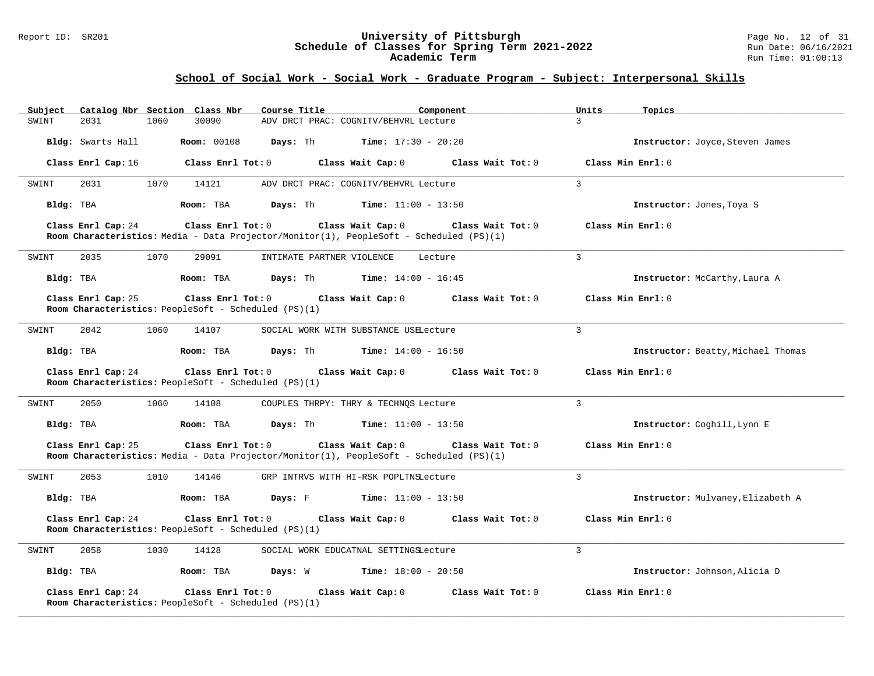#### Report ID: SR201 **University of Pittsburgh** Page No. 12 of 31 **Schedule of Classes for Spring Term 2021-2022** Run Date: 06/16/2021 **Academic Term** Run Time: 01:00:13

| Catalog Nbr Section Class Nbr<br>Subject                                          | Course Title                                                                                                                            | Component<br>Units        | Topics                             |
|-----------------------------------------------------------------------------------|-----------------------------------------------------------------------------------------------------------------------------------------|---------------------------|------------------------------------|
| 30090<br>SWINT<br>2031<br>1060                                                    | ADV DRCT PRAC: COGNITV/BEHVRL Lecture                                                                                                   | 3                         |                                    |
| <b>Room: 00108</b><br>Bldg: Swarts Hall                                           | Days: Th<br><b>Time:</b> $17:30 - 20:20$                                                                                                |                           | Instructor: Joyce, Steven James    |
| Class Enrl Cap: 16                                                                | Class Wait Cap: 0<br>Class Enrl Tot: 0                                                                                                  | $Class$ Wait Tot: $0$     | Class Min Enrl: 0                  |
| 2031<br>1070<br>14121<br>SWINT                                                    | ADV DRCT PRAC: COGNITV/BEHVRL Lecture                                                                                                   | 3                         |                                    |
| Bldg: TBA<br>Room: TBA                                                            | Days: Th<br><b>Time:</b> $11:00 - 13:50$                                                                                                |                           | Instructor: Jones, Toya S          |
| Class Enrl Cap: 24                                                                | Class Enrl Tot: 0<br>Class Wait Cap: 0<br>Room Characteristics: Media - Data Projector/Monitor(1), PeopleSoft - Scheduled (PS)(1)       | Class Wait Tot: 0         | Class Min Enrl: 0                  |
| 1070<br>29091<br>2035<br>SWINT                                                    | INTIMATE PARTNER VIOLENCE                                                                                                               | $\overline{3}$<br>Lecture |                                    |
| Bldg: TBA<br>Room: TBA                                                            | Days: Th<br><b>Time:</b> $14:00 - 16:45$                                                                                                |                           | Instructor: McCarthy, Laura A      |
| Class Enrl Cap: 25<br>Room Characteristics: PeopleSoft - Scheduled (PS)(1)        | $Class$ $Enrl$ $Tot: 0$<br>Class Wait Cap: 0                                                                                            | Class Wait Tot: 0         | Class Min Enrl: 0                  |
| 2042<br>1060<br>14107<br>SWINT                                                    | SOCIAL WORK WITH SUBSTANCE USELecture                                                                                                   | 3                         |                                    |
| Bldg: TBA<br>Room: TBA                                                            | Days: Th<br><b>Time:</b> $14:00 - 16:50$                                                                                                |                           | Instructor: Beatty, Michael Thomas |
| Class Enrl Cap: 24<br>Room Characteristics: PeopleSoft - Scheduled (PS)(1)        | Class Enrl Tot: 0<br>Class Wait Cap: 0                                                                                                  | Class Wait Tot: 0         | Class Min Enrl: 0                  |
| 2050<br>1060<br>14108<br>SWINT                                                    | COUPLES THRPY: THRY & TECHNQS Lecture                                                                                                   | 3                         |                                    |
| Bldg: TBA<br>Room: TBA                                                            | Days: Th<br><b>Time:</b> $11:00 - 13:50$                                                                                                |                           | Instructor: Coghill, Lynn E        |
| Class Enrl Cap: 25                                                                | $Class$ $Enr1$ $Tot: 0$<br>Class Wait Cap: 0<br>Room Characteristics: Media - Data Projector/Monitor(1), PeopleSoft - Scheduled (PS)(1) | Class Wait Tot: 0         | Class Min Enrl: 0                  |
| 1010<br>SWINT<br>2053<br>14146                                                    | GRP INTRVS WITH HI-RSK POPLTNSLecture                                                                                                   | $\overline{3}$            |                                    |
| Bldg: TBA<br>Room: TBA                                                            | Days: F<br><b>Time:</b> $11:00 - 13:50$                                                                                                 |                           | Instructor: Mulvaney, Elizabeth A  |
| Class Enrl Cap: 24<br>Room Characteristics: PeopleSoft - Scheduled (PS)(1)        | $Class$ $Enr1$ $Tot: 0$<br>Class Wait Cap: 0                                                                                            | Class Wait Tot: 0         | Class Min Enrl: 0                  |
| 2058<br>1030<br>14128<br>SWINT                                                    | SOCIAL WORK EDUCATNAL SETTINGSLecture                                                                                                   | $\mathcal{L}$             |                                    |
| Bldg: TBA<br>Room: TBA                                                            | Days: W<br><b>Time:</b> $18:00 - 20:50$                                                                                                 |                           | Instructor: Johnson, Alicia D      |
| Class Enrl Cap: 24<br><b>Room Characteristics:</b> PeopleSoft - Scheduled (PS)(1) | $Class$ $Enr1$ $Tot: 0$<br>Class Wait Cap: 0                                                                                            | Class Wait Tot: 0         | Class Min Enrl: 0                  |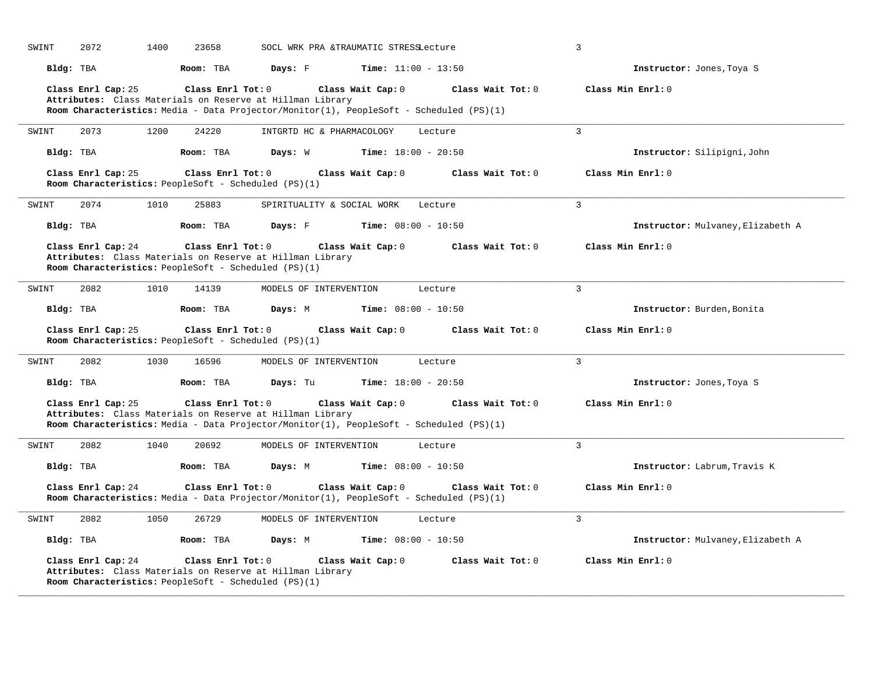| SWINT | 2072               | 1400 | 23658             |                                                                                                                                                      | SOCL WRK PRA &TRAUMATIC STRESSLecture |                     | $\overline{3}$                    |
|-------|--------------------|------|-------------------|------------------------------------------------------------------------------------------------------------------------------------------------------|---------------------------------------|---------------------|-----------------------------------|
|       | Bldg: TBA          |      | Room: TBA         | Days: F                                                                                                                                              | <b>Time:</b> $11:00 - 13:50$          |                     | Instructor: Jones, Toya S         |
|       | Class Enrl Cap: 25 |      | Class Enrl Tot: 0 | Attributes: Class Materials on Reserve at Hillman Library                                                                                            | Class Wait Cap: 0                     | Class Wait $Tot: 0$ | Class Min Enrl: 0                 |
|       |                    |      |                   | Room Characteristics: Media - Data Projector/Monitor(1), PeopleSoft - Scheduled (PS)(1)                                                              |                                       |                     |                                   |
| SWINT | 2073               | 1200 | 24220             | INTGRTD HC & PHARMACOLOGY                                                                                                                            |                                       | Lecture             | $\overline{3}$                    |
|       | Bldg: TBA          |      | Room: TBA         | Days: W                                                                                                                                              | <b>Time:</b> $18:00 - 20:50$          |                     | Instructor: Silipigni, John       |
|       | Class Enrl Cap: 25 |      | Class Enrl Tot: 0 | Room Characteristics: PeopleSoft - Scheduled (PS)(1)                                                                                                 | Class Wait Cap: 0                     | Class Wait $Tot: 0$ | Class Min Enrl: 0                 |
| SWINT | 2074               | 1010 | 25883             | SPIRITUALITY & SOCIAL WORK                                                                                                                           |                                       | Lecture             | 3                                 |
|       | Bldg: TBA          |      | Room: TBA         | Days: F                                                                                                                                              | <b>Time:</b> $08:00 - 10:50$          |                     | Instructor: Mulvaney, Elizabeth A |
|       | Class Enrl Cap: 24 |      | Class Enrl Tot: 0 | Attributes: Class Materials on Reserve at Hillman Library                                                                                            | Class Wait Cap: 0                     | Class Wait Tot: 0   | Class Min Enrl: 0                 |
|       |                    |      |                   | Room Characteristics: PeopleSoft - Scheduled (PS)(1)                                                                                                 |                                       |                     |                                   |
| SWINT | 2082               | 1010 | 14139             | MODELS OF INTERVENTION                                                                                                                               |                                       | Lecture             | 3                                 |
|       | Bldg: TBA          |      | Room: TBA         | Days: M                                                                                                                                              | <b>Time:</b> $08:00 - 10:50$          |                     | Instructor: Burden, Bonita        |
|       | Class Enrl Cap: 25 |      | Class Enrl Tot: 0 | Room Characteristics: PeopleSoft - Scheduled (PS)(1)                                                                                                 | Class Wait Cap: 0                     | Class Wait Tot: 0   | Class Min Enrl: 0                 |
| SWINT | 2082               | 1030 | 16596             | MODELS OF INTERVENTION                                                                                                                               |                                       | Lecture             | 3                                 |
|       | Bldg: TBA          |      | Room: TBA         | Days: Tu                                                                                                                                             | <b>Time:</b> $18:00 - 20:50$          |                     | Instructor: Jones, Toya S         |
|       | Class Enrl Cap: 25 |      | Class Enrl Tot: 0 |                                                                                                                                                      | Class Wait Cap: 0                     | Class Wait Tot: 0   | Class Min Enrl: 0                 |
|       |                    |      |                   | Attributes: Class Materials on Reserve at Hillman Library<br>Room Characteristics: Media - Data Projector/Monitor(1), PeopleSoft - Scheduled (PS)(1) |                                       |                     |                                   |
| SWINT | 2082               | 1040 | 20692             | MODELS OF INTERVENTION                                                                                                                               |                                       | Lecture             | $\overline{3}$                    |
|       | Bldg: TBA          |      | Room: TBA         | Days: M                                                                                                                                              | <b>Time:</b> $08:00 - 10:50$          |                     | Instructor: Labrum, Travis K      |
|       | Class Enrl Cap: 24 |      | Class Enrl Tot: 0 | Room Characteristics: Media - Data Projector/Monitor(1), PeopleSoft - Scheduled (PS)(1)                                                              | Class Wait Cap: 0                     | Class Wait Tot: 0   | Class Min Enrl: 0                 |
| SWINT | 2082               | 1050 | 26729             | MODELS OF INTERVENTION                                                                                                                               |                                       | Lecture             | $\overline{3}$                    |
|       | Bldg: TBA          |      | Room: TBA         | Days: M                                                                                                                                              | <b>Time:</b> $08:00 - 10:50$          |                     | Instructor: Mulvaney, Elizabeth A |
|       | Class Enrl Cap: 24 |      | Class Enrl Tot: 0 | Attributes: Class Materials on Reserve at Hillman Library<br>Room Characteristics: PeopleSoft - Scheduled (PS)(1)                                    | Class Wait Cap: 0                     | Class Wait Tot: 0   | Class Min Enrl: 0                 |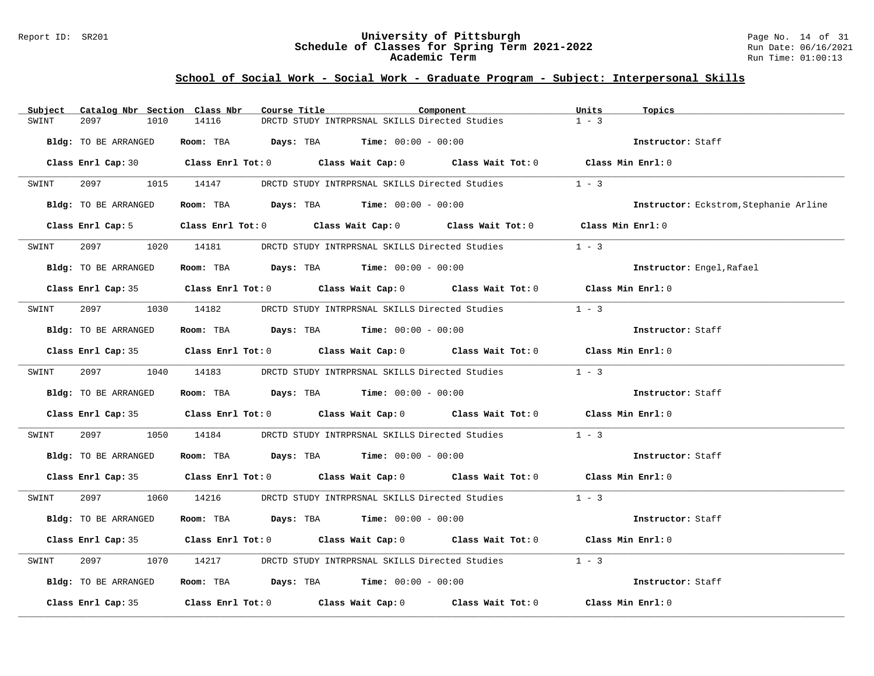#### Report ID: SR201 **University of Pittsburgh** Page No. 14 of 31 **Schedule of Classes for Spring Term 2021-2022** Run Date: 06/16/2021 **Academic Term** Run Time: 01:00:13

| Subject              | Catalog Nbr Section Class Nbr | Course Title                                                                                                                                                                                                                  | Component | Units<br>Topics                        |
|----------------------|-------------------------------|-------------------------------------------------------------------------------------------------------------------------------------------------------------------------------------------------------------------------------|-----------|----------------------------------------|
| 2097<br>SWINT        | 1010<br>14116                 | DRCTD STUDY INTRPRSNAL SKILLS Directed Studies                                                                                                                                                                                |           | $1 - 3$                                |
| Bldg: TO BE ARRANGED |                               | Room: TBA $Days:$ TBA $Time: 00:00 - 00:00$                                                                                                                                                                                   |           | Instructor: Staff                      |
|                      |                               | Class Enrl Cap: 30 Class Enrl Tot: 0 Class Wait Cap: 0 Class Wait Tot: 0 Class Min Enrl: 0                                                                                                                                    |           |                                        |
| SWINT                |                               | 2097 1015 14147 DRCTD STUDY INTRPRSNAL SKILLS Directed Studies                                                                                                                                                                |           | $1 - 3$                                |
| Bldg: TO BE ARRANGED |                               | Room: TBA $Days:$ TBA $Time: 00:00 - 00:00$                                                                                                                                                                                   |           | Instructor: Eckstrom, Stephanie Arline |
|                      |                               | Class Enrl Cap: 5 Class Enrl Tot: 0 Class Wait Cap: 0 Class Wait Tot: 0 Class Min Enrl: 0                                                                                                                                     |           |                                        |
| SWINT                | 2097 1020 14181               | DRCTD STUDY INTRPRSNAL SKILLS Directed Studies                                                                                                                                                                                |           | $1 - 3$                                |
| Bldg: TO BE ARRANGED |                               | Room: TBA $Days:$ TBA $Time: 00:00 - 00:00$                                                                                                                                                                                   |           | Instructor: Engel, Rafael              |
|                      |                               | Class Enrl Cap: 35 Class Enrl Tot: 0 Class Wait Cap: 0 Class Wait Tot: 0 Class Min Enrl: 0                                                                                                                                    |           |                                        |
| SWINT                |                               | 2097 1030 14182 DRCTD STUDY INTRPRSNAL SKILLS Directed Studies                                                                                                                                                                |           | $1 - 3$                                |
| Bldg: TO BE ARRANGED |                               | Room: TBA $Days:$ TBA $Time: 00:00 - 00:00$                                                                                                                                                                                   |           | Instructor: Staff                      |
|                      |                               | Class Enrl Cap: 35 Class Enrl Tot: 0 Class Wait Cap: 0 Class Wait Tot: 0 Class Min Enrl: 0                                                                                                                                    |           |                                        |
| SWINT                |                               | 2097 1040 14183 DRCTD STUDY INTRPRSNAL SKILLS Directed Studies 1 - 3                                                                                                                                                          |           |                                        |
| Bldg: TO BE ARRANGED |                               | Room: TBA $Days:$ TBA $Time: 00:00 - 00:00$                                                                                                                                                                                   |           | Instructor: Staff                      |
|                      |                               | Class Enrl Cap: 35 Class Enrl Tot: 0 Class Wait Cap: 0 Class Wait Tot: 0 Class Min Enrl: 0                                                                                                                                    |           |                                        |
| 2097<br>SWINT        |                               | 1050 14184 DRCTD STUDY INTRPRSNAL SKILLS Directed Studies                                                                                                                                                                     |           | $1 - 3$                                |
| Bldg: TO BE ARRANGED |                               | Room: TBA $Days:$ TBA $Time: 00:00 - 00:00$                                                                                                                                                                                   |           | Instructor: Staff                      |
|                      |                               | Class Enrl Cap: 35 Class Enrl Tot: 0 Class Wait Cap: 0 Class Wait Tot: 0 Class Min Enrl: 0                                                                                                                                    |           |                                        |
| SWINT                |                               | 2097 1060 14216 DRCTD STUDY INTRPRSNAL SKILLS Directed Studies 1 - 3                                                                                                                                                          |           |                                        |
| Bldg: TO BE ARRANGED |                               | Room: TBA $Days:$ TBA $Time: 00:00 - 00:00$                                                                                                                                                                                   |           | Instructor: Staff                      |
|                      |                               | Class Enrl Cap: 35 Class Enrl Tot: 0 Class Wait Cap: 0 Class Wait Tot: 0 Class Min Enrl: 0                                                                                                                                    |           |                                        |
| 2097<br>SWINT        | 1070<br>14217                 | DRCTD STUDY INTRPRSNAL SKILLS Directed Studies                                                                                                                                                                                |           | $1 - 3$                                |
| Bldg: TO BE ARRANGED |                               | Room: TBA $Days:$ TBA Time: $00:00 - 00:00$                                                                                                                                                                                   |           | Instructor: Staff                      |
|                      |                               | Class Enrl Cap: 35 $\,$ Class Enrl Tot: 0 $\,$ Class Wait Cap: 0 $\,$ Class Wait Tot: 0 $\,$ Class Enrl Tot: 0 $\,$ Class Enrl Tot: 0 $\,$ Class Enrl Tot: 0 $\,$ Class Enrl Tot: 0 $\,$ Class Enrl Tot: 0 $\,$ Class Enrl To |           | Class Min Enrl: 0                      |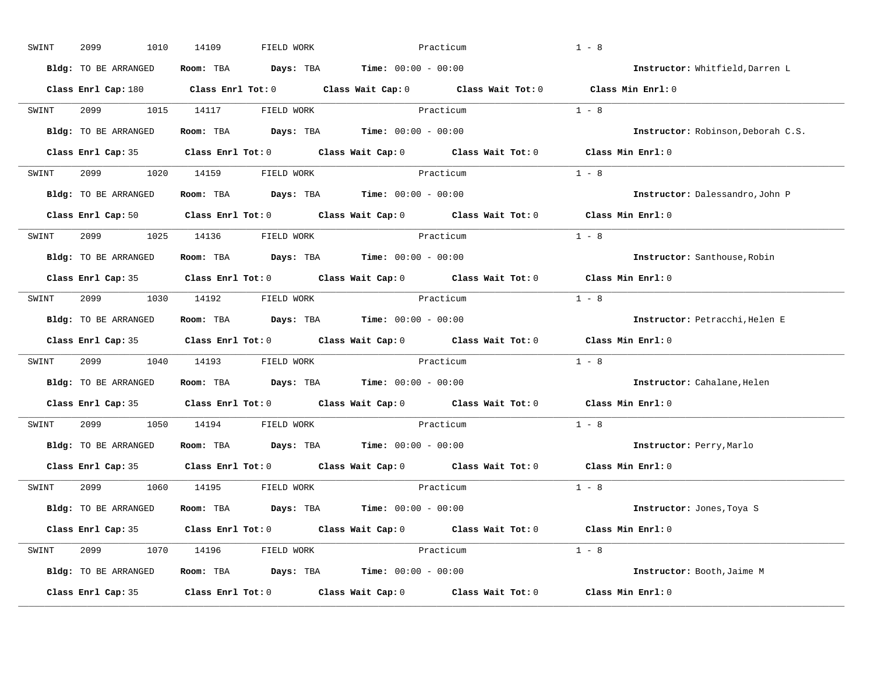| SWINT | 2099<br>1010         | 14109<br>FIELD WORK              |                                                                                                                                 | Practicum | $1 - 8$                            |
|-------|----------------------|----------------------------------|---------------------------------------------------------------------------------------------------------------------------------|-----------|------------------------------------|
|       | Bldg: TO BE ARRANGED |                                  | Room: TBA $\rule{1em}{0.15mm}$ Days: TBA $\rule{1.15mm}]{0.15mm}$ Time: $0.000 - 0.0000$                                        |           | Instructor: Whitfield, Darren L    |
|       |                      |                                  | Class Enrl Cap: 180 $\qquad$ Class Enrl Tot: 0 $\qquad$ Class Wait Cap: 0 $\qquad$ Class Wait Tot: 0 $\qquad$ Class Min Enrl: 0 |           |                                    |
| SWINT |                      |                                  | 2099 1015 14117 FIELD WORK Practicum                                                                                            |           | $1 - 8$                            |
|       | Bldg: TO BE ARRANGED |                                  | Room: TBA Days: TBA Time: $00:00 - 00:00$                                                                                       |           | Instructor: Robinson, Deborah C.S. |
|       |                      |                                  | Class Enrl Cap: 35 Class Enrl Tot: 0 Class Wait Cap: 0 Class Wait Tot: 0 Class Min Enrl: 0                                      |           |                                    |
|       |                      | SWINT 2099 1020 14159 FIELD WORK | Practicum                                                                                                                       |           | $1 - 8$                            |
|       |                      |                                  | <b>Bldg:</b> TO BE ARRANGED <b>Room:</b> TBA <b>Days:</b> TBA <b>Time:</b> $00:00 - 00:00$                                      |           | Instructor: Dalessandro, John P    |
|       |                      |                                  | Class Enrl Cap: 50 $\qquad$ Class Enrl Tot: 0 $\qquad$ Class Wait Cap: 0 $\qquad$ Class Wait Tot: 0                             |           | Class Min Enrl: 0                  |
|       |                      | SWINT 2099 1025 14136 FIELD WORK | Practicum                                                                                                                       |           | $1 - 8$                            |
|       | Bldg: TO BE ARRANGED |                                  | Room: TBA $\rule{1em}{0.15mm}$ Days: TBA $\rule{1.15mm}]{0.15mm}$ Time: $0.000 - 0.0000$                                        |           | Instructor: Santhouse, Robin       |
|       |                      |                                  | Class Enrl Cap: 35 Class Enrl Tot: 0 Class Wait Cap: 0 Class Wait Tot: 0                                                        |           | Class Min Enrl: 0                  |
| SWINT |                      | 2099 1030 14192 FIELD WORK       | Practicum                                                                                                                       |           | $1 - 8$                            |
|       | Bldg: TO BE ARRANGED |                                  | Room: TBA $Days:$ TBA $Time: 00:00 - 00:00$                                                                                     |           | Instructor: Petracchi, Helen E     |
|       |                      |                                  | Class Enrl Cap: 35 Class Enrl Tot: 0 Class Wait Cap: 0 Class Wait Tot: 0                                                        |           | Class Min Enrl: 0                  |
| SWINT |                      | 2099 1040 14193 FIELD WORK       | Practicum                                                                                                                       |           | $1 - 8$                            |
|       | Bldg: TO BE ARRANGED |                                  | Room: TBA $Days:$ TBA $Time: 00:00 - 00:00$                                                                                     |           | Instructor: Cahalane, Helen        |
|       |                      |                                  | Class Enrl Cap: 35 Class Enrl Tot: 0 Class Wait Cap: 0 Class Wait Tot: 0                                                        |           | $Class$ Min $Enrl: 0$              |
| SWINT |                      | 2099 1050 14194 FIELD WORK       |                                                                                                                                 | Practicum | $1 - 8$                            |
|       |                      |                                  | Bldg: TO BE ARRANGED Room: TBA Days: TBA Time: 00:00 - 00:00                                                                    |           | Instructor: Perry, Marlo           |
|       | Class Enrl Cap: 35   |                                  | Class Enrl Tot: $0$ Class Wait Cap: $0$ Class Wait Tot: $0$                                                                     |           | $Class$ Min $Enrl: 0$              |
|       |                      | SWINT 2099 1060 14195 FIELD WORK |                                                                                                                                 | Practicum | $1 - 8$                            |
|       | Bldg: TO BE ARRANGED |                                  | Room: TBA $Days:$ TBA $Time: 00:00 - 00:00$                                                                                     |           | Instructor: Jones, Toya S          |
|       |                      |                                  | Class Enrl Cap: 35 Class Enrl Tot: 0 Class Wait Cap: 0 Class Wait Tot: 0 Class Min Enrl: 0                                      |           |                                    |
|       |                      | SWINT 2099 1070 14196 FIELD WORK | Practicum                                                                                                                       |           | $1 - 8$                            |
|       | Bldg: TO BE ARRANGED |                                  | Room: TBA $\rule{1em}{0.15mm}$ Days: TBA Time: $00:00 - 00:00$                                                                  |           | Instructor: Booth, Jaime M         |
|       | Class Enrl Cap: 35   |                                  | Class Enrl Tot: $0$ Class Wait Cap: $0$ Class Wait Tot: $0$                                                                     |           | Class Min Enrl: 0                  |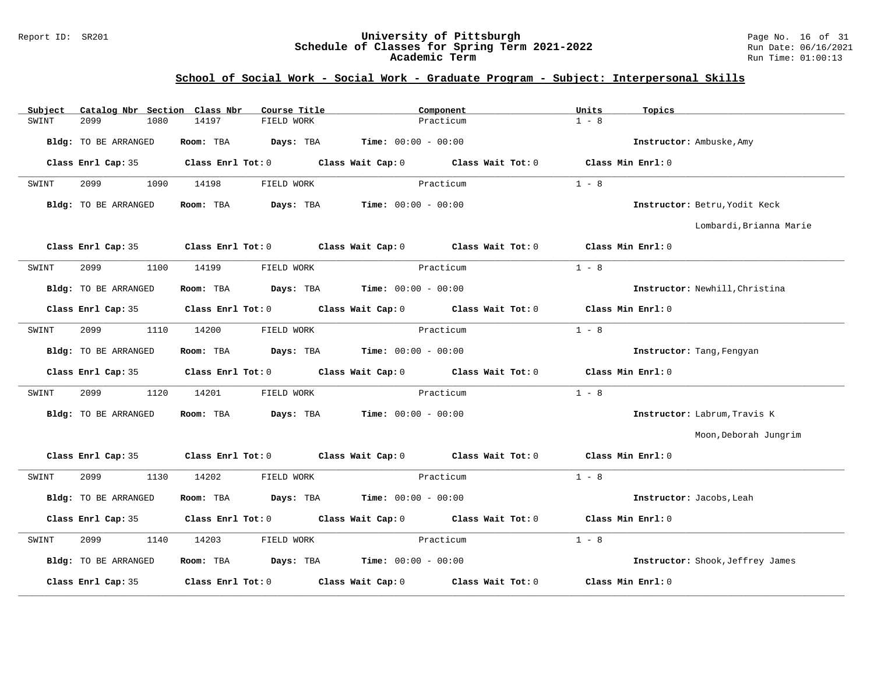#### Report ID: SR201 **University of Pittsburgh** Page No. 16 of 31 **Schedule of Classes for Spring Term 2021-2022** Run Date: 06/16/2021 **Academic Term** Run Time: 01:00:13

| Subject | Catalog Nbr Section Class Nbr |      |           | Course Title |           |                                                     | Component |                                                                                                     | Units   | Topics            |                                  |
|---------|-------------------------------|------|-----------|--------------|-----------|-----------------------------------------------------|-----------|-----------------------------------------------------------------------------------------------------|---------|-------------------|----------------------------------|
| SWINT   | 2099                          | 1080 | 14197     | FIELD WORK   |           |                                                     | Practicum |                                                                                                     | $1 - 8$ |                   |                                  |
|         | Bldg: TO BE ARRANGED          |      | Room: TBA |              | Days: TBA | <b>Time:</b> $00:00 - 00:00$                        |           |                                                                                                     |         |                   | Instructor: Ambuske, Amy         |
|         | Class Enrl Cap: 35            |      |           |              |           |                                                     |           | Class Enrl Tot: 0 Class Wait Cap: 0 Class Wait Tot: 0                                               |         | Class Min Enrl: 0 |                                  |
| SWINT   | 2099                          | 1090 | 14198     | FIELD WORK   |           |                                                     | Practicum |                                                                                                     | $1 - 8$ |                   |                                  |
|         | Bldg: TO BE ARRANGED          |      | Room: TBA |              |           | <b>Days:</b> TBA <b>Time:</b> $00:00 - 00:00$       |           |                                                                                                     |         |                   | Instructor: Betru, Yodit Keck    |
|         |                               |      |           |              |           |                                                     |           |                                                                                                     |         |                   | Lombardi, Brianna Marie          |
|         | Class Enrl Cap: 35            |      |           |              |           |                                                     |           | Class Enrl Tot: 0 Class Wait Cap: 0 Class Wait Tot: 0                                               |         | Class Min Enrl: 0 |                                  |
| SWINT   | 2099                          | 1100 | 14199     | FIELD WORK   |           |                                                     | Practicum |                                                                                                     | $1 - 8$ |                   |                                  |
|         | Bldg: TO BE ARRANGED          |      | Room: TBA |              |           | <b>Days:</b> TBA <b>Time:</b> $00:00 - 00:00$       |           |                                                                                                     |         |                   | Instructor: Newhill, Christina   |
|         | Class Enrl Cap: 35            |      |           |              |           |                                                     |           | Class Enrl Tot: $0$ Class Wait Cap: $0$ Class Wait Tot: $0$                                         |         | Class Min Enrl: 0 |                                  |
| SWINT   | 2099                          | 1110 | 14200     | FIELD WORK   |           |                                                     | Practicum |                                                                                                     | $1 - 8$ |                   |                                  |
|         | Bldg: TO BE ARRANGED          |      | Room: TBA |              |           | $\texttt{DayS:}$ TBA $\texttt{Time:}$ 00:00 - 00:00 |           |                                                                                                     |         |                   | Instructor: Tang, Fengyan        |
|         |                               |      |           |              |           |                                                     |           | Class Enrl Cap: 35 $\qquad$ Class Enrl Tot: 0 $\qquad$ Class Wait Cap: 0 $\qquad$ Class Wait Tot: 0 |         | Class Min Enrl: 0 |                                  |
| SWINT   | 2099                          | 1120 | 14201     | FIELD WORK   |           |                                                     | Practicum |                                                                                                     | $1 - 8$ |                   |                                  |
|         | Bldg: TO BE ARRANGED          |      | Room: TBA |              |           | <b>Days:</b> TBA <b>Time:</b> $00:00 - 00:00$       |           |                                                                                                     |         |                   | Instructor: Labrum, Travis K     |
|         |                               |      |           |              |           |                                                     |           |                                                                                                     |         |                   | Moon, Deborah Jungrim            |
|         | Class Enrl Cap: 35            |      |           |              |           |                                                     |           | Class Enrl Tot: 0 Class Wait Cap: 0 Class Wait Tot: 0                                               |         | Class Min Enrl: 0 |                                  |
| SWINT   | 2099                          | 1130 | 14202     | FIELD WORK   |           |                                                     | Practicum |                                                                                                     | $1 - 8$ |                   |                                  |
|         | Bldg: TO BE ARRANGED          |      |           |              |           | Room: TBA $Days:$ TBA $Time: 00:00 - 00:00$         |           |                                                                                                     |         |                   | Instructor: Jacobs, Leah         |
|         |                               |      |           |              |           |                                                     |           | Class Enrl Cap: 35 Class Enrl Tot: 0 Class Wait Cap: 0 Class Wait Tot: 0                            |         | Class Min Enrl: 0 |                                  |
| SWINT   | 2099                          | 1140 | 14203     | FIELD WORK   |           |                                                     | Practicum |                                                                                                     | $1 - 8$ |                   |                                  |
|         | Bldg: TO BE ARRANGED          |      |           |              |           | Room: TBA $Days:$ TBA $Time: 00:00 - 00:00$         |           |                                                                                                     |         |                   | Instructor: Shook, Jeffrey James |
|         | Class Enrl Cap: 35            |      |           |              |           | Class Enrl Tot: 0 Class Wait Cap: 0                 |           | Class Wait Tot: 0                                                                                   |         | Class Min Enrl: 0 |                                  |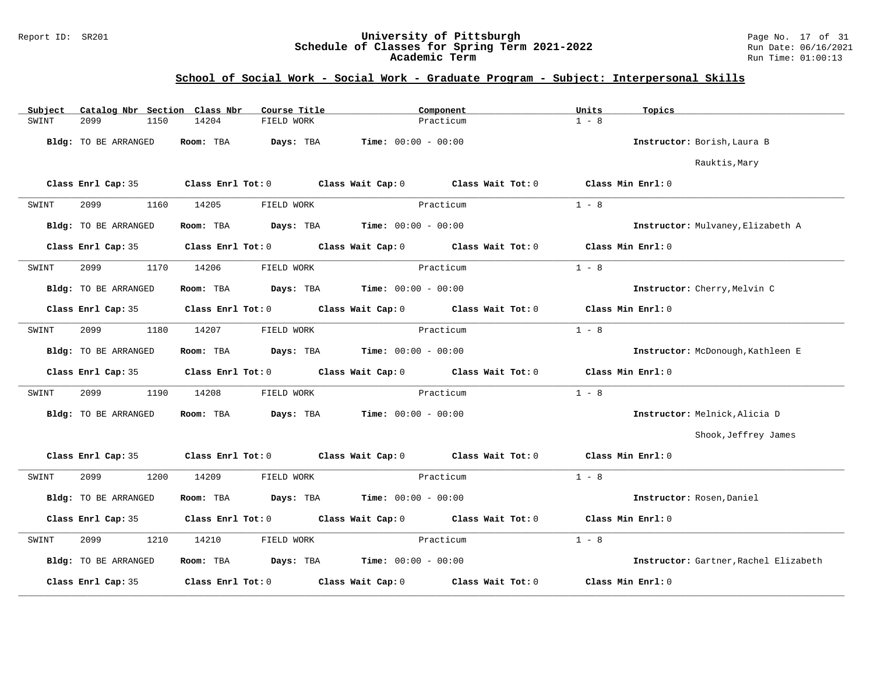#### Report ID: SR201 **University of Pittsburgh** Page No. 17 of 31 **Schedule of Classes for Spring Term 2021-2022** Run Date: 06/16/2021 **Academic Term** Run Time: 01:00:13

| Subject | Catalog Nbr Section Class Nbr |                   | Course Title | Component                                             |                                                       | Units   | Topics                                |
|---------|-------------------------------|-------------------|--------------|-------------------------------------------------------|-------------------------------------------------------|---------|---------------------------------------|
| SWINT   | 2099<br>1150                  | 14204             | FIELD WORK   | Practicum                                             |                                                       | $1 - 8$ |                                       |
|         | Bldg: TO BE ARRANGED          | Room: TBA         | Days: TBA    | <b>Time:</b> $00:00 - 00:00$                          |                                                       |         | Instructor: Borish, Laura B           |
|         |                               |                   |              |                                                       |                                                       |         | Rauktis, Mary                         |
|         | Class Enrl Cap: 35            | Class Enrl Tot: 0 |              | Class Wait Cap: $0$ Class Wait Tot: $0$               |                                                       |         | Class Min Enrl: 0                     |
| SWINT   | 2099<br>1160                  | 14205             | FIELD WORK   | Practicum                                             |                                                       | $1 - 8$ |                                       |
|         | Bldg: TO BE ARRANGED          | Room: TBA         |              | <b>Days:</b> TBA <b>Time:</b> $00:00 - 00:00$         |                                                       |         | Instructor: Mulvaney, Elizabeth A     |
|         | Class Enrl Cap: 35            |                   |              | Class Enrl Tot: 0 Class Wait Cap: 0 Class Wait Tot: 0 |                                                       |         | Class Min Enrl: 0                     |
| SWINT   | 2099<br>1170                  | 14206             | FIELD WORK   | Practicum                                             |                                                       | $1 - 8$ |                                       |
|         | Bldg: TO BE ARRANGED          | Room: TBA         |              | <b>Days:</b> TBA <b>Time:</b> $00:00 - 00:00$         |                                                       |         | Instructor: Cherry, Melvin C          |
|         | Class Enrl Cap: 35            |                   |              | Class Enrl Tot: 0 Class Wait Cap: 0 Class Wait Tot: 0 |                                                       |         | Class Min Enrl: 0                     |
| SWINT   | 2099<br>1180                  | 14207             | FIELD WORK   | Practicum                                             |                                                       | $1 - 8$ |                                       |
|         | Bldg: TO BE ARRANGED          | Room: TBA         | Days: TBA    | <b>Time:</b> $00:00 - 00:00$                          |                                                       |         | Instructor: McDonough, Kathleen E     |
|         | Class Enrl Cap: 35            |                   |              |                                                       | Class Enrl Tot: 0 Class Wait Cap: 0 Class Wait Tot: 0 |         | Class Min Enrl: 0                     |
| SWINT   | 2099<br>1190                  | 14208             | FIELD WORK   | Practicum                                             |                                                       | $1 - 8$ |                                       |
|         | Bldg: TO BE ARRANGED          | Room: TBA         | Days: TBA    | $Time: 00:00 - 00:00$                                 |                                                       |         | Instructor: Melnick, Alicia D         |
|         |                               |                   |              |                                                       |                                                       |         | Shook, Jeffrey James                  |
|         | Class Enrl Cap: 35            | Class Enrl Tot: 0 |              | Class Wait Cap: $0$ Class Wait Tot: $0$               |                                                       |         | Class Min Enrl: 0                     |
| SWINT   | 2099<br>1200                  | 14209             | FIELD WORK   | Practicum                                             |                                                       | $1 - 8$ |                                       |
|         | Bldg: TO BE ARRANGED          | Room: TBA         |              | <b>Days:</b> TBA <b>Time:</b> $00:00 - 00:00$         |                                                       |         | Instructor: Rosen, Daniel             |
|         | Class Enrl Cap: 35            |                   |              | Class Enrl Tot: 0 Class Wait Cap: 0 Class Wait Tot: 0 |                                                       |         | Class Min Enrl: 0                     |
| SWINT   | 2099<br>1210                  | 14210             | FIELD WORK   | Practicum                                             |                                                       | $1 - 8$ |                                       |
|         | Bldg: TO BE ARRANGED          | Room: TBA         |              | $\texttt{Days:}$ TBA $\texttt{Time:}$ 00:00 - 00:00   |                                                       |         | Instructor: Gartner, Rachel Elizabeth |
|         | Class Enrl Cap: 35            | Class Enrl Tot: 0 |              | Class Wait Cap: 0                                     | Class Wait Tot: 0                                     |         | Class Min Enrl: 0                     |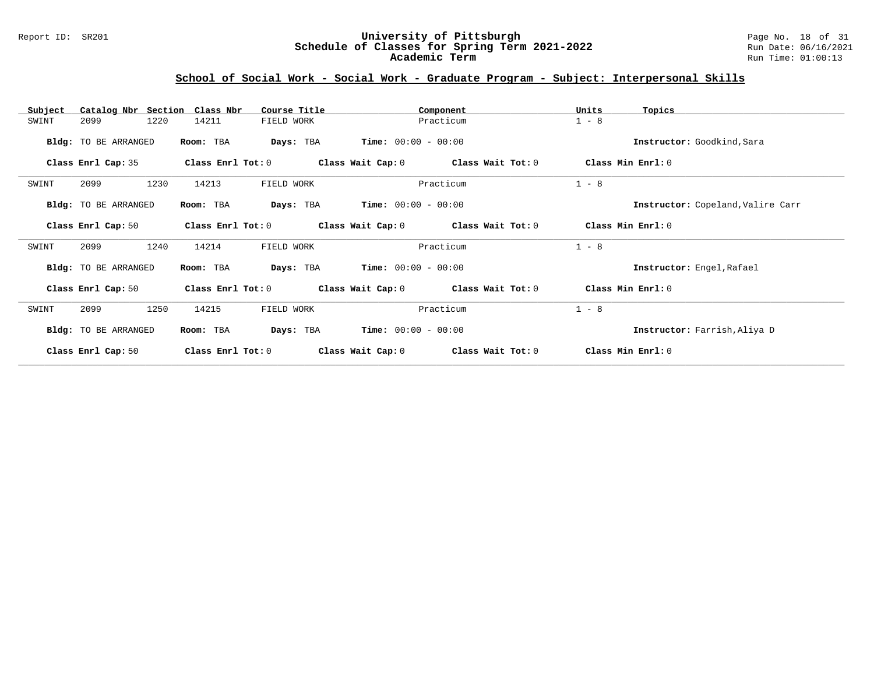#### Report ID: SR201 **University of Pittsburgh** Page No. 18 of 31 **Schedule of Classes for Spring Term 2021-2022** Run Date: 06/16/2021 **Academic Term** Run Time: 01:00:13

| Subject<br>Catalog Nbr Section Class Nbr | Course Title                                       |                              | Component         | Units              | Topics                            |
|------------------------------------------|----------------------------------------------------|------------------------------|-------------------|--------------------|-----------------------------------|
| 2099<br>1220<br>SWINT                    | 14211<br>FIELD WORK                                |                              | Practicum         |                    |                                   |
| Bldg: TO BE ARRANGED                     | Room: TBA<br>Days: TBA                             | $Time: 00:00 - 00:00$        |                   |                    | Instructor: Goodkind, Sara        |
| Class Enrl Cap: 35                       | Class Enrl Tot: 0                                  | Class Wait Cap: 0            | Class Wait Tot: 0 | Class Min Enrl: 0  |                                   |
| 2099<br>1230<br>SWINT                    | 14213<br>FIELD WORK                                |                              | Practicum         | $1 - 8$            |                                   |
| Bldg: TO BE ARRANGED                     | Room: TBA<br>Days: TBA                             | $Time: 00:00 - 00:00$        |                   |                    | Instructor: Copeland, Valire Carr |
| Class Enrl Cap: 50                       | Class Enrl Tot: 0                                  | Class Wait Cap: 0            | Class Wait Tot: 0 | Class Min $Err1:0$ |                                   |
| 2099<br>1240<br>SWINT                    | 14214<br>FIELD WORK                                |                              | Practicum         | $1 - 8$            |                                   |
| Bldg: TO BE ARRANGED                     | Days: TBA<br>Room: TBA                             | $Time: 00:00 - 00:00$        |                   |                    | Instructor: Engel, Rafael         |
| Class Enrl Cap: 50                       | $\texttt{Class}$ $\texttt{Enrl}$ $\texttt{Tot:}~0$ | Class Wait Cap: 0            | Class Wait Tot: 0 | Class Min Enrl: 0  |                                   |
| 2099<br>1250<br>SWINT                    | 14215<br>FIELD WORK                                |                              | Practicum         | $1 - 8$            |                                   |
| Bldg: TO BE ARRANGED                     | Room: TBA<br>Days: TBA                             | <b>Time:</b> $00:00 - 00:00$ |                   |                    | Instructor: Farrish, Aliya D      |
| Class Enrl Cap: 50                       | Class Enrl Tot: 0                                  | Class Wait Cap: 0            | Class Wait Tot: 0 | Class Min Enrl: 0  |                                   |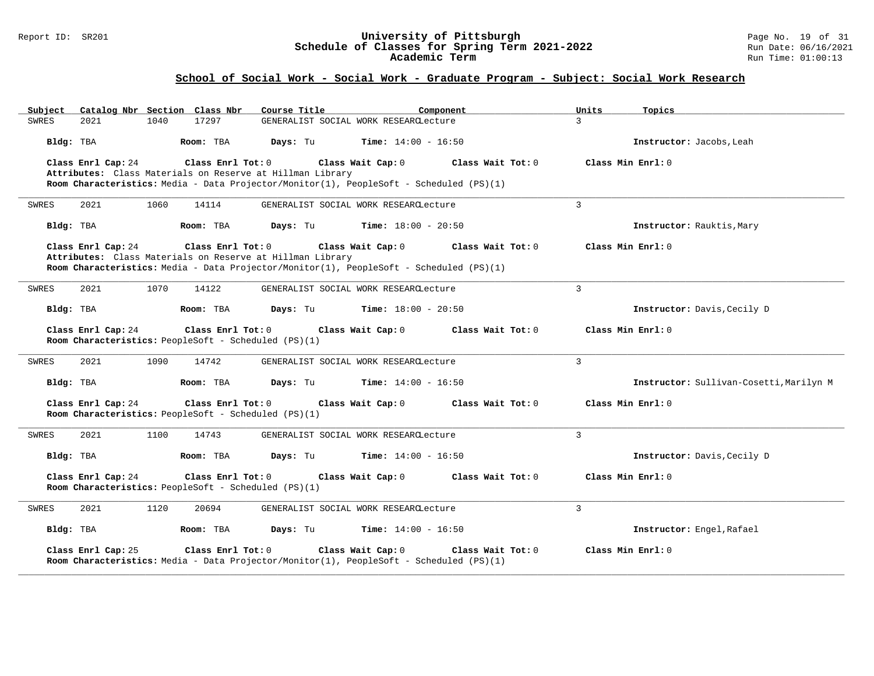#### Report ID: SR201 **University of Pittsburgh** Page No. 19 of 31 **Schedule of Classes for Spring Term 2021-2022** Run Date: 06/16/2021 **Academic Term** Run Time: 01:00:13

| Catalog Nbr Section Class Nbr<br>Subject                                                        | Course Title<br>Component                                                                                    | Units<br>Topics                         |
|-------------------------------------------------------------------------------------------------|--------------------------------------------------------------------------------------------------------------|-----------------------------------------|
| 2021<br>1040<br>17297<br>SWRES                                                                  | GENERALIST SOCIAL WORK RESEARCLecture                                                                        | $\mathcal{L}$                           |
| Bldg: TBA<br>Room: TBA                                                                          | Days: Tu<br><b>Time:</b> $14:00 - 16:50$                                                                     | Instructor: Jacobs, Leah                |
| Class Enrl Cap: 24<br>Class Enrl Tot: 0                                                         | Class Wait Cap: 0                                                                                            | Class Wait Tot: 0<br>Class Min Enrl: 0  |
| Attributes: Class Materials on Reserve at Hillman Library                                       |                                                                                                              |                                         |
|                                                                                                 | Room Characteristics: Media - Data Projector/Monitor(1), PeopleSoft - Scheduled (PS)(1)                      |                                         |
| 2021<br>1060<br>14114<br>SWRES                                                                  | GENERALIST SOCIAL WORK RESEARCLecture                                                                        | 3                                       |
| Bldg: TBA<br>Room: TBA                                                                          | Days: Tu<br><b>Time:</b> $18:00 - 20:50$                                                                     | Instructor: Rauktis, Mary               |
| Class Enrl Cap: 24<br>Class Enrl Tot: 0                                                         | Class Wait Cap: 0                                                                                            | Class Wait Tot: 0<br>Class Min Enrl: 0  |
| Attributes: Class Materials on Reserve at Hillman Library                                       |                                                                                                              |                                         |
|                                                                                                 | Room Characteristics: Media - Data Projector/Monitor(1), PeopleSoft - Scheduled (PS)(1)                      |                                         |
| 2021<br>1070<br>14122<br>SWRES                                                                  | GENERALIST SOCIAL WORK RESEARCLecture                                                                        | 3                                       |
| Bldg: TBA<br>Room: TBA                                                                          | Days: Tu<br><b>Time:</b> $18:00 - 20:50$                                                                     | Instructor: Davis, Cecily D             |
| Class Enrl Cap: 24<br>Class Enrl Tot: 0                                                         | Class Wait Cap: 0                                                                                            | Class Wait Tot: 0<br>Class Min Enrl: 0  |
| Room Characteristics: PeopleSoft - Scheduled (PS)(1)                                            |                                                                                                              |                                         |
| <b>SWRES</b><br>2021<br>1090<br>14742                                                           | GENERALIST SOCIAL WORK RESEARCLecture                                                                        | 3                                       |
| Bldg: TBA<br>Room: TBA                                                                          | Days: Tu<br><b>Time:</b> $14:00 - 16:50$                                                                     | Instructor: Sullivan-Cosetti, Marilyn M |
|                                                                                                 |                                                                                                              |                                         |
| Class Enrl Cap: 24<br>Class Enrl Tot: 0<br>Room Characteristics: PeopleSoft - Scheduled (PS)(1) | Class Wait Cap: 0                                                                                            | Class Min Enrl: 0<br>Class Wait Tot: 0  |
| 2021<br>1100<br>14743<br>SWRES                                                                  | GENERALIST SOCIAL WORK RESEARCLecture                                                                        | $\overline{3}$                          |
| Bldg: TBA<br>Room: TBA                                                                          | <b>Time:</b> $14:00 - 16:50$<br>Days: Tu                                                                     | Instructor: Davis, Cecily D             |
| Class Enrl Cap: 24<br>Class Enrl Tot: 0                                                         | Class Wait Cap: 0                                                                                            | Class Wait Tot: 0<br>Class Min Enrl: 0  |
| Room Characteristics: PeopleSoft - Scheduled (PS)(1)                                            |                                                                                                              |                                         |
| 2021<br>1120<br>20694<br>SWRES                                                                  | GENERALIST SOCIAL WORK RESEARCLecture                                                                        | 3                                       |
| Bldg: TBA<br>Room: TBA                                                                          | <b>Time:</b> $14:00 - 16:50$<br>Days: Tu                                                                     | Instructor: Engel, Rafael               |
| Class Enrl Cap: 25<br>Class Enrl Tot: 0                                                         | Class Wait Cap: 0<br>Room Characteristics: Media - Data Projector/Monitor(1), PeopleSoft - Scheduled (PS)(1) | Class Min Enrl: 0<br>Class Wait Tot: 0  |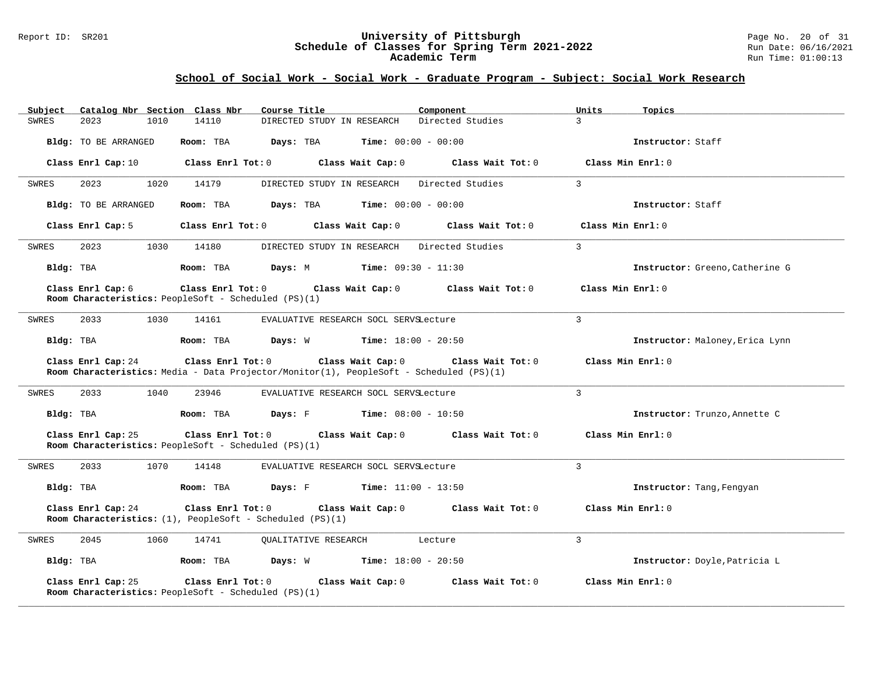#### Report ID: SR201 **University of Pittsburgh** Page No. 20 of 31 **Schedule of Classes for Spring Term 2021-2022** Run Date: 06/16/2021 **Academic Term** Run Time: 01:00:13

| Catalog Nbr Section Class Nbr<br>Subject                                                        | Course Title<br>Component                                                                                                                                    | Units<br>Topics                 |
|-------------------------------------------------------------------------------------------------|--------------------------------------------------------------------------------------------------------------------------------------------------------------|---------------------------------|
| 14110<br><b>SWRES</b><br>2023<br>1010                                                           | DIRECTED STUDY IN RESEARCH<br>Directed Studies                                                                                                               | $\mathcal{E}$                   |
| Bldg: TO BE ARRANGED<br>Room: TBA                                                               | Days: TBA<br><b>Time:</b> $00:00 - 00:00$                                                                                                                    | Instructor: Staff               |
| Class Enrl Cap: 10<br>Class Enrl Tot: $0$                                                       | Class Wait Cap: 0 Class Wait Tot: 0                                                                                                                          | Class Min Enrl: 0               |
| 2023<br>1020<br>14179<br>SWRES                                                                  | DIRECTED STUDY IN RESEARCH Directed Studies                                                                                                                  | $\mathbf{3}$                    |
| Bldg: TO BE ARRANGED<br>Room: TBA                                                               | $\texttt{Days:}$ TBA Time: $00:00 - 00:00$                                                                                                                   | Instructor: Staff               |
| Class Enrl Cap: 5                                                                               | $Class$ $Enr1$ $Tot: 0$<br>Class Wait Cap: 0<br>Class Wait Tot: 0                                                                                            | Class Min Enrl: 0               |
| 2023<br>1030<br>SWRES<br>14180                                                                  | DIRECTED STUDY IN RESEARCH<br>Directed Studies                                                                                                               | $\overline{3}$                  |
| Bldg: TBA<br>Room: TBA                                                                          | <b>Days:</b> M <b>Time:</b> $09:30 - 11:30$                                                                                                                  | Instructor: Greeno, Catherine G |
| Class Enrl Cap: 6<br>Class Enrl Tot: 0<br>Room Characteristics: PeopleSoft - Scheduled (PS)(1)  | Class Wait Cap: 0<br>Class Wait Tot: 0                                                                                                                       | Class Min Enrl: 0               |
| 2033<br>1030<br>14161<br>SWRES                                                                  | EVALUATIVE RESEARCH SOCL SERVSLecture                                                                                                                        | $\mathbf{3}$                    |
| Bldg: TBA<br>Room: TBA                                                                          | <b>Days:</b> W <b>Time:</b> $18:00 - 20:50$                                                                                                                  | Instructor: Maloney, Erica Lynn |
| Class Enrl Cap: 24                                                                              | $Class$ $Enr1$ $Tot: 0$<br>Class Wait Cap: 0<br>Class Wait Tot: 0<br>Room Characteristics: Media - Data Projector/Monitor(1), PeopleSoft - Scheduled (PS)(1) | Class Min Enrl: 0               |
| 2033<br>1040<br>23946<br>SWRES                                                                  | EVALUATIVE RESEARCH SOCL SERVSLecture                                                                                                                        | $\mathcal{L}$                   |
| Room: TBA<br>Bldg: TBA                                                                          | <b>Days:</b> F Time: $08:00 - 10:50$                                                                                                                         | Instructor: Trunzo, Annette C   |
| Class Enrl Cap: 25<br>Class Enrl Tot: 0<br>Room Characteristics: PeopleSoft - Scheduled (PS)(1) | Class Wait Cap: 0 Class Wait Tot: 0                                                                                                                          | Class Min Enrl: 0               |
| 1070<br>SWRES<br>2033<br>14148                                                                  | EVALUATIVE RESEARCH SOCL SERVSLecture                                                                                                                        | $\mathbf{3}$                    |
| Bldg: TBA<br>Room: TBA                                                                          | <b>Time:</b> $11:00 - 13:50$                                                                                                                                 | Instructor: Tang, Fengyan       |
| Class Enrl Cap: 24<br>Room Characteristics: (1), PeopleSoft - Scheduled (PS)(1)                 | Class Enrl Tot: 0 Class Wait Cap: 0 Class Wait Tot: 0                                                                                                        | Class Min Enrl: 0               |
| 2045<br>1060<br>14741<br>SWRES                                                                  | <b>OUALITATIVE RESEARCH</b><br>Lecture                                                                                                                       | $\mathcal{L}$                   |
| Bldg: TBA                                                                                       | Room: TBA $Days: W$ Time: $18:00 - 20:50$                                                                                                                    | Instructor: Doyle, Patricia L   |
| Class Enrl Cap: 25<br>Class Enrl Tot: 0<br>Room Characteristics: PeopleSoft - Scheduled (PS)(1) | Class Wait Cap: 0<br>Class Wait Tot: 0                                                                                                                       | Class Min Enrl: 0               |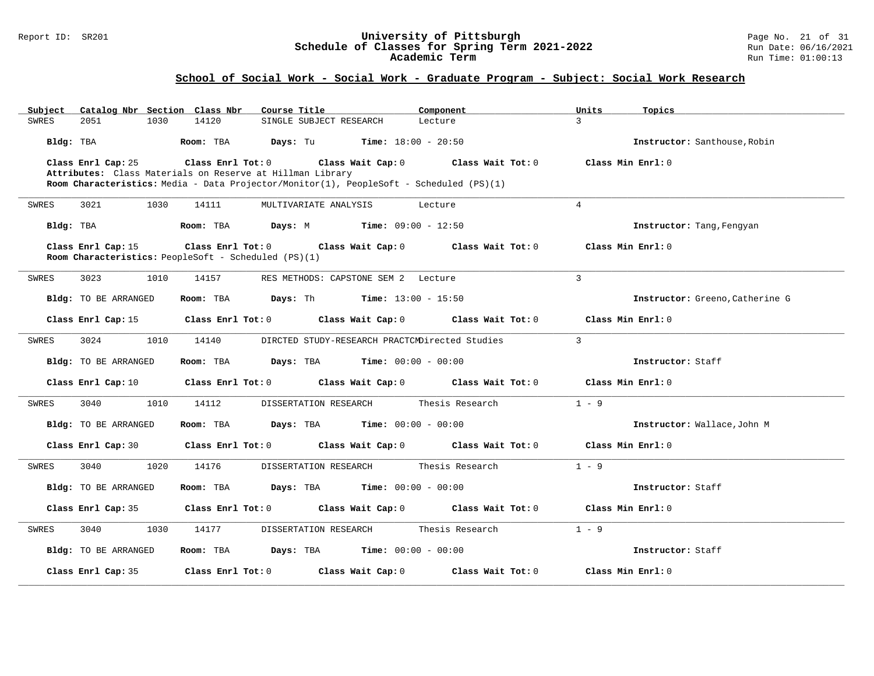#### Report ID: SR201 **University of Pittsburgh** Page No. 21 of 31 **Schedule of Classes for Spring Term 2021-2022** Run Date: 06/16/2021 **Academic Term** Run Time: 01:00:13

| Catalog Nbr Section Class Nbr<br>Subject | Course Title                                                                            | Component                           | Units<br>Topics                 |
|------------------------------------------|-----------------------------------------------------------------------------------------|-------------------------------------|---------------------------------|
| 1030<br>SWRES<br>2051                    | 14120<br>SINGLE SUBJECT RESEARCH                                                        | Lecture                             | $\mathbf{z}$                    |
| Bldg: TBA                                | Room: TBA<br><b>Days:</b> Tu <b>Time:</b> $18:00 - 20:50$                               |                                     | Instructor: Santhouse, Robin    |
| Class Enrl Cap: 25                       | Class Enrl Tot: 0                                                                       | Class Wait Cap: 0 Class Wait Tot: 0 | Class Min Enrl: 0               |
|                                          | Attributes: Class Materials on Reserve at Hillman Library                               |                                     |                                 |
|                                          | Room Characteristics: Media - Data Projector/Monitor(1), PeopleSoft - Scheduled (PS)(1) |                                     |                                 |
| 3021<br>1030<br>SWRES                    | 14111<br>MULTIVARIATE ANALYSIS                                                          | Lecture                             | $\overline{4}$                  |
| Bldg: TBA                                | <b>Days:</b> M <b>Time:</b> $09:00 - 12:50$<br>Room: TBA                                |                                     | Instructor: Tang, Fengyan       |
| Class Enrl Cap: 15                       | Class Enrl Tot: 0<br>Room Characteristics: PeopleSoft - Scheduled (PS)(1)               | Class Wait Cap: 0 Class Wait Tot: 0 | Class Min Enrl: 0               |
|                                          |                                                                                         |                                     |                                 |
| 3023<br>1010<br>SWRES                    | 14157<br>RES METHODS: CAPSTONE SEM 2 Lecture                                            |                                     | $\overline{3}$                  |
| Bldg: TO BE ARRANGED                     | <b>Days:</b> Th <b>Time:</b> $13:00 - 15:50$<br>Room: TBA                               |                                     | Instructor: Greeno, Catherine G |
| Class Enrl Cap: 15                       | $Class$ $Enr1$ $Tot: 0$                                                                 | Class Wait Cap: 0 Class Wait Tot: 0 | Class Min Enrl: 0               |
| SWRES<br>3024<br>1010                    | DIRCTED STUDY-RESEARCH PRACTCMDirected Studies<br>14140                                 |                                     | 3                               |
| Bldg: TO BE ARRANGED                     | Room: TBA<br><b>Days:</b> TBA <b>Time:</b> $00:00 - 00:00$                              |                                     | Instructor: Staff               |
| Class Enrl Cap: 10                       | Class Enrl Tot: 0 Class Wait Cap: 0 Class Wait Tot: 0                                   |                                     | Class Min Enrl: 0               |
| 3040<br>1010<br>SWRES                    | 14112<br>DISSERTATION RESEARCH                                                          | Thesis Research                     | $1 - 9$                         |
| Bldg: TO BE ARRANGED                     | Room: TBA<br><b>Days:</b> TBA <b>Time:</b> $00:00 - 00:00$                              |                                     | Instructor: Wallace, John M     |
| Class Enrl Cap: 30                       | Class Enrl Tot: 0 Class Wait Cap: 0 Class Wait Tot: 0                                   |                                     | Class Min Enrl: 0               |
| 3040<br>1020<br>SWRES                    | 14176<br>DISSERTATION RESEARCH                                                          | Thesis Research                     | $1 - 9$                         |
| Bldg: TO BE ARRANGED                     | <b>Days:</b> TBA <b>Time:</b> $00:00 - 00:00$<br>Room: TBA                              |                                     | Instructor: Staff               |
| Class Enrl Cap: 35                       | Class Enrl Tot: 0 Class Wait Cap: 0 Class Wait Tot: 0                                   |                                     | Class Min Enrl: 0               |
| 3040<br>1030<br>SWRES                    | DISSERTATION RESEARCH<br>14177                                                          | Thesis Research                     | $1 - 9$                         |
| Bldg: TO BE ARRANGED                     | <b>Days:</b> TBA <b>Time:</b> $00:00 - 00:00$<br>Room: TBA                              |                                     | Instructor: Staff               |
| Class Enrl Cap: 35                       | Class Enrl Tot: 0<br>Class Wait Cap: 0                                                  | Class Wait Tot: 0                   | Class Min Enrl: 0               |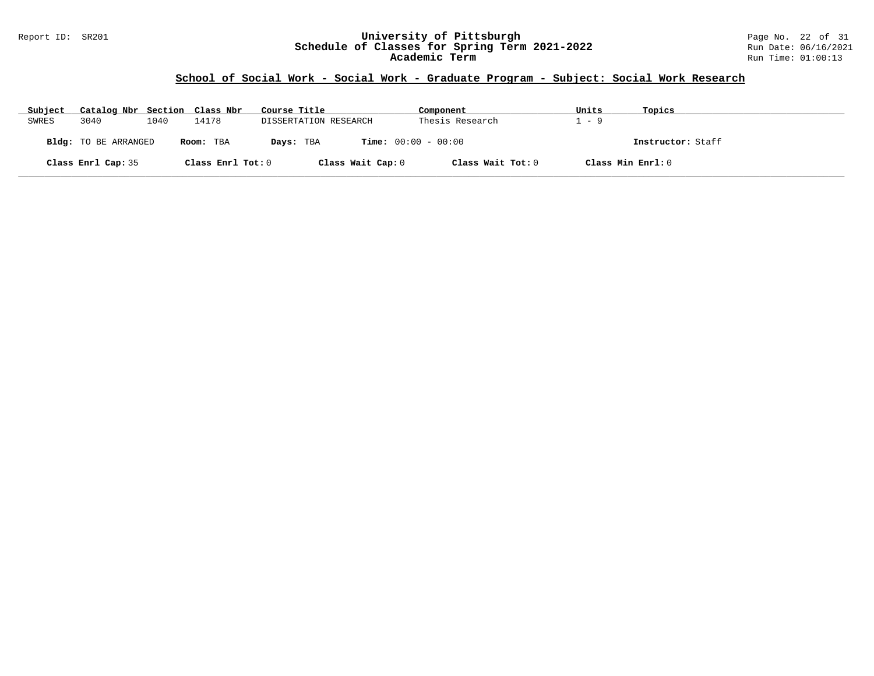#### Report ID: SR201 **University of Pittsburgh** Page No. 22 of 31 **Schedule of Classes for Spring Term 2021-2022** Run Date: 06/16/2021 **Academic Term** Run Time: 01:00:13

| Subject | Catalog Nbr Section Class Nbr |      |                   | Course Title          | Component                    | Units | Topics            |
|---------|-------------------------------|------|-------------------|-----------------------|------------------------------|-------|-------------------|
| SWRES   | 3040                          | 1040 | 14178             | DISSERTATION RESEARCH | Thesis Research              | - 9   |                   |
|         | <b>Bldg:</b> TO BE ARRANGED   |      | Room: TBA         | Days: TBA             | <b>Time:</b> $00:00 - 00:00$ |       | Instructor: Staff |
|         | Class Enrl Cap: 35            |      | Class Enrl Tot: 0 | Class Wait Cap: 0     | Class Wait Tot: 0            |       | Class Min Enrl: 0 |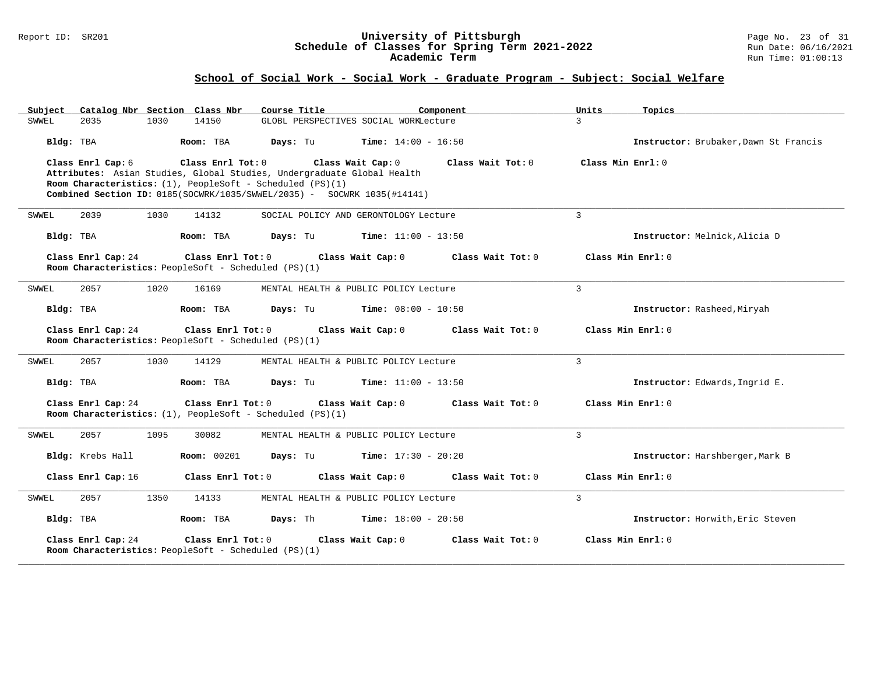#### Report ID: SR201 **University of Pittsburgh** Page No. 23 of 31 **Schedule of Classes for Spring Term 2021-2022** Run Date: 06/16/2021 **Academic Term** Run Time: 01:00:13

| Catalog Nbr Section Class Nbr<br>Subject                                                                                                                                                                                                                               | Course Title                             | Component         | Units<br>Topics                       |
|------------------------------------------------------------------------------------------------------------------------------------------------------------------------------------------------------------------------------------------------------------------------|------------------------------------------|-------------------|---------------------------------------|
| 2035<br>1030<br>14150<br>SWWEL                                                                                                                                                                                                                                         | GLOBL PERSPECTIVES SOCIAL WORKLecture    |                   | $\mathcal{L}$                         |
| Bldg: TBA<br>Room: TBA                                                                                                                                                                                                                                                 | Days: Tu<br><b>Time:</b> $14:00 - 16:50$ |                   | Instructor: Brubaker, Dawn St Francis |
| Class Enrl Tot: 0<br>Class Enrl Cap: 6<br>Attributes: Asian Studies, Global Studies, Undergraduate Global Health<br>Room Characteristics: $(1)$ , PeopleSoft - Scheduled (PS) $(1)$<br><b>Combined Section ID:</b> $0185(SOCWR/1035/SWWEL/2035) - SOCWRK 1035(H14141)$ | Class Wait Cap: 0                        | Class Wait Tot: 0 | Class Min Enrl: 0                     |
| 2039<br>1030<br>14132<br>SWWEL                                                                                                                                                                                                                                         | SOCIAL POLICY AND GERONTOLOGY Lecture    |                   | 3                                     |
| Bldg: TBA<br>Room: TBA                                                                                                                                                                                                                                                 | Days: Tu<br><b>Time:</b> $11:00 - 13:50$ |                   | Instructor: Melnick, Alicia D         |
| Class Enrl Cap: 24<br>Class Enrl Tot: 0<br>Room Characteristics: PeopleSoft - Scheduled (PS)(1)                                                                                                                                                                        | Class Wait Cap: 0                        | Class Wait Tot: 0 | Class Min Enrl: 0                     |
| 2057<br>1020<br>16169<br>SWWEL                                                                                                                                                                                                                                         | MENTAL HEALTH & PUBLIC POLICY Lecture    |                   | 3                                     |
| Bldg: TBA<br>Room: TBA                                                                                                                                                                                                                                                 | <b>Time:</b> $08:00 - 10:50$<br>Days: Tu |                   | Instructor: Rasheed, Miryah           |
| Class Enrl Cap: 24<br>Class Enrl Tot: 0<br>Room Characteristics: PeopleSoft - Scheduled (PS)(1)                                                                                                                                                                        | Class Wait Cap: 0                        | Class Wait Tot: 0 | Class Min Enrl: 0                     |
| 2057<br>SWWEL<br>1030<br>14129                                                                                                                                                                                                                                         | MENTAL HEALTH & PUBLIC POLICY Lecture    |                   | 3                                     |
| Bldg: TBA<br>Room: TBA                                                                                                                                                                                                                                                 | Days: Tu<br><b>Time:</b> $11:00 - 13:50$ |                   | Instructor: Edwards, Ingrid E.        |
| Class Enrl Cap: 24<br>Class Enrl Tot: 0<br>Room Characteristics: $(1)$ , PeopleSoft - Scheduled (PS) $(1)$                                                                                                                                                             | Class Wait Cap: 0                        | Class Wait Tot: 0 | Class Min Enrl: 0                     |
| 2057<br>1095<br>30082<br>SWWEL                                                                                                                                                                                                                                         | MENTAL HEALTH & PUBLIC POLICY Lecture    |                   | 3                                     |
| Bldg: Krebs Hall<br><b>Room:</b> 00201                                                                                                                                                                                                                                 | <b>Time:</b> $17:30 - 20:20$<br>Days: Tu |                   | Instructor: Harshberger, Mark B       |
| Class Enrl Cap: 16<br>Class Enrl Tot: 0                                                                                                                                                                                                                                | Class Wait Cap: 0                        | Class Wait Tot: 0 | Class Min Enrl: 0                     |
| 2057<br>1350<br>14133<br>SWWEL                                                                                                                                                                                                                                         | MENTAL HEALTH & PUBLIC POLICY Lecture    |                   | 3                                     |
| Bldg: TBA<br>Room: TBA                                                                                                                                                                                                                                                 | Days: Th<br><b>Time:</b> $18:00 - 20:50$ |                   | Instructor: Horwith, Eric Steven      |
| Class Enrl Cap: 24<br>Class Enrl Tot: 0<br>Room Characteristics: PeopleSoft - Scheduled (PS)(1)                                                                                                                                                                        | Class Wait Cap: 0                        | Class Wait Tot: 0 | Class Min Enrl: 0                     |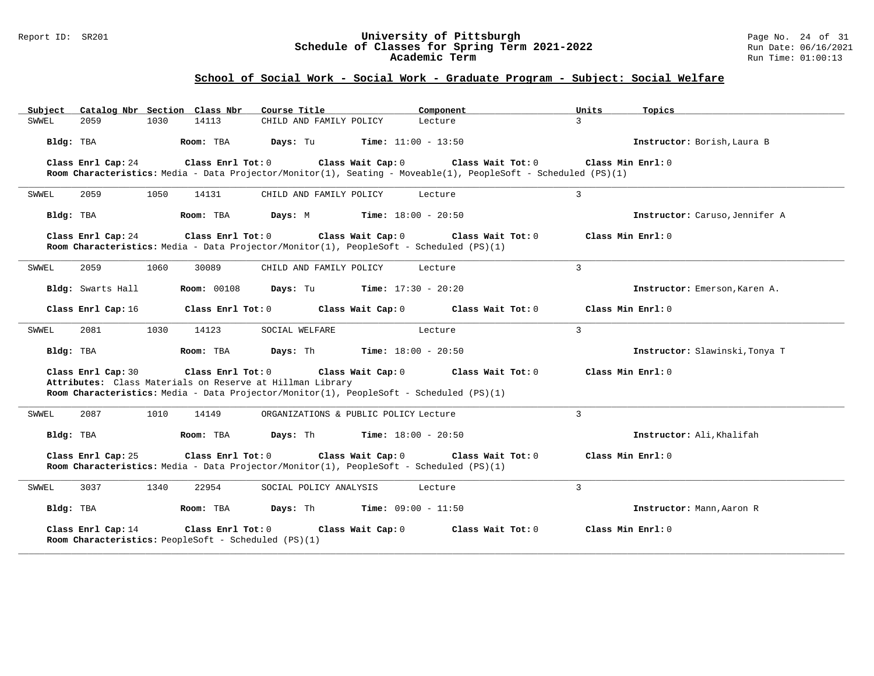#### Report ID: SR201 **University of Pittsburgh** Page No. 24 of 31 **Schedule of Classes for Spring Term 2021-2022** Run Date: 06/16/2021 **Academic Term** Run Time: 01:00:13

| Subject   | Catalog Nbr Section Class Nbr |      |                                                                           | Course Title                                                                                                                                         |                              | Component                    |                                                                                                                                     | Units              | Topics                         |
|-----------|-------------------------------|------|---------------------------------------------------------------------------|------------------------------------------------------------------------------------------------------------------------------------------------------|------------------------------|------------------------------|-------------------------------------------------------------------------------------------------------------------------------------|--------------------|--------------------------------|
| SWWEL     | 2059                          | 1030 | 14113                                                                     | CHILD AND FAMILY POLICY                                                                                                                              |                              | Lecture                      |                                                                                                                                     | $\overline{3}$     |                                |
| Bldg: TBA |                               |      | Room: TBA                                                                 | Days: Tu                                                                                                                                             |                              | <b>Time:</b> $11:00 - 13:50$ |                                                                                                                                     |                    | Instructor: Borish, Laura B    |
|           | Class Enrl Cap: 24            |      | Class Enrl Tot: 0                                                         |                                                                                                                                                      | Class Wait Cap: 0            |                              | Class Wait Tot: 0<br>Room Characteristics: Media - Data Projector/Monitor(1), Seating - Moveable(1), PeopleSoft - Scheduled (PS)(1) | Class Min $Err1:0$ |                                |
| SWWEL     | 2059                          | 1050 | 14131                                                                     | CHILD AND FAMILY POLICY                                                                                                                              |                              | Lecture                      |                                                                                                                                     | 3                  |                                |
| Bldg: TBA |                               |      | Room: TBA                                                                 | Days: M                                                                                                                                              | <b>Time:</b> $18:00 - 20:50$ |                              |                                                                                                                                     |                    | Instructor: Caruso, Jennifer A |
|           | Class Enrl Cap: 24            |      | Class Enrl Tot: 0                                                         | Room Characteristics: Media - Data Projector/Monitor(1), PeopleSoft - Scheduled (PS)(1)                                                              | Class Wait Cap: 0            |                              | Class Wait Tot: 0                                                                                                                   | Class Min Enrl: 0  |                                |
| SWWEL     | 2059                          | 1060 | 30089                                                                     | CHILD AND FAMILY POLICY                                                                                                                              |                              | Lecture                      |                                                                                                                                     | $\overline{3}$     |                                |
|           | Bldg: Swarts Hall             |      | <b>Room: 00108</b>                                                        | Days: Tu                                                                                                                                             | $Time: 17:30 - 20:20$        |                              |                                                                                                                                     |                    | Instructor: Emerson, Karen A.  |
|           | Class Enrl Cap: 16            |      | Class Enrl Tot: 0                                                         |                                                                                                                                                      | Class Wait Cap: 0            |                              | Class Wait Tot: 0                                                                                                                   | Class Min Enrl: 0  |                                |
| SWWEL     | 2081                          | 1030 | 14123                                                                     | SOCIAL WELFARE                                                                                                                                       |                              | Lecture                      |                                                                                                                                     | $\mathbf{3}$       |                                |
| Bldg: TBA |                               |      | Room: TBA                                                                 | Days: Th                                                                                                                                             | <b>Time:</b> $18:00 - 20:50$ |                              |                                                                                                                                     |                    | Instructor: Slawinski, Tonya T |
|           | Class Enrl Cap: 30            |      | Class Enrl Tot: 0                                                         | Attributes: Class Materials on Reserve at Hillman Library<br>Room Characteristics: Media - Data Projector/Monitor(1), PeopleSoft - Scheduled (PS)(1) | Class Wait Cap: 0            |                              | Class Wait Tot: 0                                                                                                                   | Class Min Enrl: 0  |                                |
| SWWEL     | 2087                          | 1010 | 14149                                                                     | ORGANIZATIONS & PUBLIC POLICY Lecture                                                                                                                |                              |                              |                                                                                                                                     | $\overline{3}$     |                                |
| Bldg: TBA |                               |      | Room: TBA                                                                 | Days: Th                                                                                                                                             |                              | <b>Time:</b> $18:00 - 20:50$ |                                                                                                                                     |                    | Instructor: Ali, Khalifah      |
|           | Class Enrl Cap: 25            |      | Class Enrl Tot: 0                                                         | Room Characteristics: Media - Data Projector/Monitor(1), PeopleSoft - Scheduled (PS)(1)                                                              | Class Wait Cap: 0            |                              | Class Wait Tot: 0                                                                                                                   | Class Min Enrl: 0  |                                |
| SWWEL     | 3037                          | 1340 | 22954                                                                     | SOCIAL POLICY ANALYSIS                                                                                                                               |                              | Lecture                      |                                                                                                                                     | 3                  |                                |
| Bldg: TBA |                               |      | Room: TBA                                                                 | Days: Th                                                                                                                                             | $Time: 09:00 - 11:50$        |                              |                                                                                                                                     |                    | Instructor: Mann, Aaron R      |
|           | Class Enrl Cap: 14            |      | Class Enrl Tot: 0<br>Room Characteristics: PeopleSoft - Scheduled (PS)(1) |                                                                                                                                                      | Class Wait Cap: 0            |                              | Class Wait Tot: 0                                                                                                                   | Class Min Enrl: 0  |                                |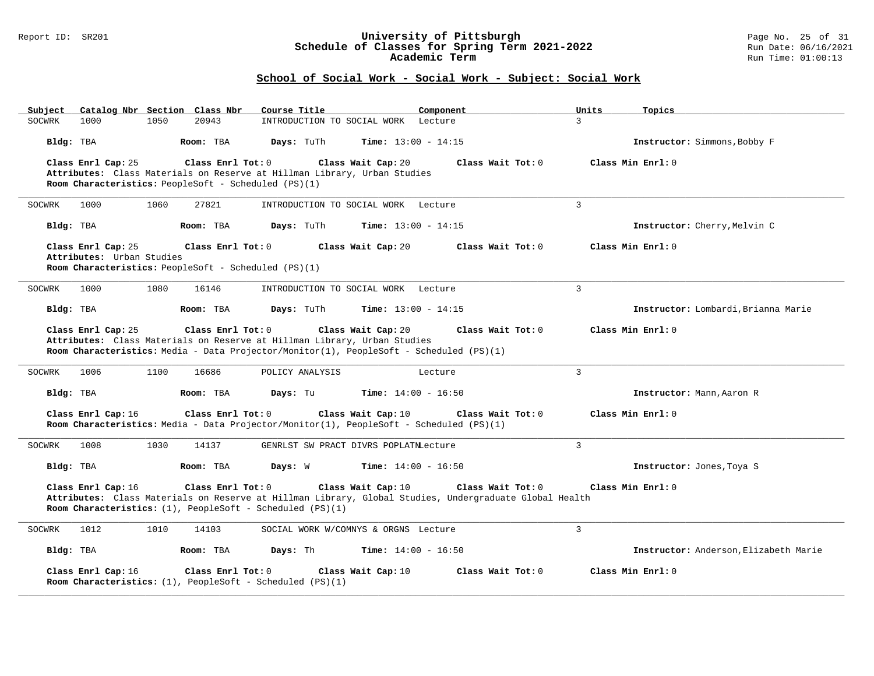#### Report ID: SR201 **University of Pittsburgh** Page No. 25 of 31 **Schedule of Classes for Spring Term 2021-2022** Run Date: 06/16/2021 **Academic Term** Run Time: 01:00:13

| Catalog Nbr Section Class Nbr<br>Subject                                 | Course Title<br>Component                                                                                                          | Topics<br>Units                       |
|--------------------------------------------------------------------------|------------------------------------------------------------------------------------------------------------------------------------|---------------------------------------|
| 1050<br>20943<br>SOCWRK<br>1000                                          | INTRODUCTION TO SOCIAL WORK Lecture                                                                                                | $\overline{3}$                        |
| Bldg: TBA<br>Room: TBA                                                   | Time: $13:00 - 14:15$<br>Days: TuTh                                                                                                | Instructor: Simmons, Bobby F          |
| Class Enrl Cap: 25<br>Class Enrl Tot: 0                                  | Class Wait Cap: 20<br>Class Wait Tot: 0                                                                                            | Class Min Enrl: 0                     |
| Attributes: Class Materials on Reserve at Hillman Library, Urban Studies |                                                                                                                                    |                                       |
| Room Characteristics: PeopleSoft - Scheduled (PS)(1)                     |                                                                                                                                    |                                       |
| 1000<br>1060<br>27821<br>SOCWRK                                          | INTRODUCTION TO SOCIAL WORK Lecture                                                                                                | 3                                     |
| Bldg: TBA<br>Room: TBA                                                   | Days: TuTh<br><b>Time:</b> $13:00 - 14:15$                                                                                         | Instructor: Cherry, Melvin C          |
| Class Enrl Cap: 25<br>Class Enrl Tot: 0                                  | Class Wait Cap: 20<br>Class Wait Tot: 0                                                                                            | Class Min Enrl: 0                     |
| Attributes: Urban Studies                                                |                                                                                                                                    |                                       |
| Room Characteristics: PeopleSoft - Scheduled (PS)(1)                     |                                                                                                                                    |                                       |
| 1000<br>1080<br>16146<br>SOCWRK                                          | INTRODUCTION TO SOCIAL WORK Lecture                                                                                                | $\overline{3}$                        |
| Room: TBA<br>Bldg: TBA                                                   | Days: TuTh<br>Time: $13:00 - 14:15$                                                                                                | Instructor: Lombardi, Brianna Marie   |
| Class Enrl Cap: 25<br>Class Enrl Tot: 0                                  | Class Wait Cap: 20<br>Class Wait Tot: 0                                                                                            | Class Min Enrl: 0                     |
| Attributes: Class Materials on Reserve at Hillman Library, Urban Studies |                                                                                                                                    |                                       |
|                                                                          | Room Characteristics: Media - Data Projector/Monitor(1), PeopleSoft - Scheduled (PS)(1)                                            |                                       |
|                                                                          |                                                                                                                                    |                                       |
| 1006<br>1100<br>16686<br>SOCWRK                                          | POLICY ANALYSIS<br>Lecture                                                                                                         | $\overline{3}$                        |
| Bldg: TBA<br>Room: TBA                                                   | <b>Time:</b> $14:00 - 16:50$<br>Days: Tu                                                                                           | Instructor: Mann, Aaron R             |
| Class Enrl Cap: 16<br>Class Enrl Tot: 0                                  | Class Wait Cap: 10<br>Class Wait Tot: 0<br>Room Characteristics: Media - Data Projector/Monitor(1), PeopleSoft - Scheduled (PS)(1) | Class Min Enrl: 0                     |
|                                                                          |                                                                                                                                    |                                       |
| 1008<br>1030<br>14137<br>SOCWRK                                          | GENRLST SW PRACT DIVRS POPLATNLecture                                                                                              | $\overline{3}$                        |
| Bldg: TBA<br>Room: TBA                                                   | Days: W<br><b>Time:</b> $14:00 - 16:50$                                                                                            | Instructor: Jones, Toya S             |
| Class Enrl Cap: 16<br>Class Enrl Tot: 0                                  | Class Wait Cap: 10<br>Class Wait Tot: 0                                                                                            | Class Min Enrl: 0                     |
|                                                                          | Attributes: Class Materials on Reserve at Hillman Library, Global Studies, Undergraduate Global Health                             |                                       |
| Room Characteristics: $(1)$ , PeopleSoft - Scheduled (PS) $(1)$          |                                                                                                                                    |                                       |
| 1012<br>1010<br>14103<br>SOCWRK                                          | SOCIAL WORK W/COMNYS & ORGNS Lecture                                                                                               | $\overline{3}$                        |
| Bldg: TBA<br>Room: TBA                                                   | Time: $14:00 - 16:50$<br>Days: Th                                                                                                  | Instructor: Anderson, Elizabeth Marie |
| Class Enrl Cap: 16<br>Class Enrl Tot: 0                                  | Class Wait Cap: 10<br>Class Wait Tot: 0                                                                                            | Class Min Enrl: 0                     |
| Room Characteristics: $(1)$ , PeopleSoft - Scheduled $(PS)(1)$           |                                                                                                                                    |                                       |
|                                                                          |                                                                                                                                    |                                       |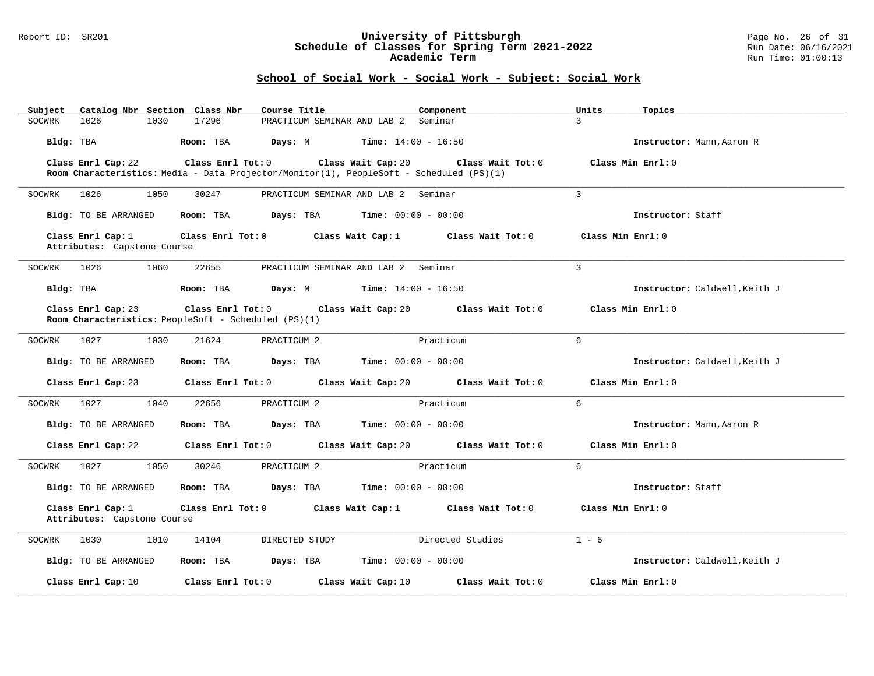#### Report ID: SR201 **University of Pittsburgh** Page No. 26 of 31 **Schedule of Classes for Spring Term 2021-2022** Run Date: 06/16/2021 **Academic Term** Run Time: 01:00:13

| Subject     |                                                  |      | Catalog Nbr Section Class Nbr                        | Course Title                                                                            | Component                                                                           | Units         | Topics                        |
|-------------|--------------------------------------------------|------|------------------------------------------------------|-----------------------------------------------------------------------------------------|-------------------------------------------------------------------------------------|---------------|-------------------------------|
| SOCWRK      | 1026                                             | 1030 | 17296                                                | PRACTICUM SEMINAR AND LAB 2 Seminar                                                     |                                                                                     | $\mathcal{L}$ |                               |
| Bldg: TBA   |                                                  |      |                                                      | Room: TBA $Days: M$ Time: $14:00 - 16:50$                                               |                                                                                     |               | Instructor: Mann, Aaron R     |
|             | Class Enrl Cap: 22                               |      |                                                      |                                                                                         | Class Enrl Tot: 0 Class Wait Cap: 20 Class Wait Tot: 0                              |               | Class Min Enrl: 0             |
|             |                                                  |      |                                                      | Room Characteristics: Media - Data Projector/Monitor(1), PeopleSoft - Scheduled (PS)(1) |                                                                                     |               |                               |
| SOCWRK 1026 |                                                  | 1050 | 30247                                                | PRACTICUM SEMINAR AND LAB 2 Seminar                                                     |                                                                                     | $\mathcal{L}$ |                               |
|             | Bldg: TO BE ARRANGED                             |      |                                                      | Room: TBA $Days:$ TBA $Time: 00:00 - 00:00$                                             |                                                                                     |               | Instructor: Staff             |
|             | Class Enrl Cap: 1<br>Attributes: Capstone Course |      |                                                      |                                                                                         | Class Enrl Tot: $0$ Class Wait Cap: 1 Class Wait Tot: 0                             |               | Class Min Enrl: 0             |
| SOCWRK 1026 |                                                  | 1060 | 22655                                                | PRACTICUM SEMINAR AND LAB 2 Seminar                                                     |                                                                                     | 3             |                               |
|             | Bldg: TBA                                        |      |                                                      | <b>Room:</b> TBA <b>Days:</b> M <b>Time:</b> $14:00 - 16:50$                            |                                                                                     |               | Instructor: Caldwell, Keith J |
|             | Class Enrl Cap: 23                               |      | Room Characteristics: PeopleSoft - Scheduled (PS)(1) |                                                                                         | Class Enrl Tot: $0$ Class Wait Cap: $20$ Class Wait Tot: $0$                        |               | Class Min Enrl: 0             |
| SOCWRK      | 1027                                             | 1030 | 21624                                                | PRACTICUM 2                                                                             | Practicum                                                                           | 6             |                               |
|             | Bldg: TO BE ARRANGED                             |      |                                                      | Room: TBA $\rule{1em}{0.15mm}$ Days: TBA Time: $00:00 - 00:00$                          |                                                                                     |               | Instructor: Caldwell, Keith J |
|             |                                                  |      |                                                      |                                                                                         | Class Enrl Cap: 23 (class Enrl Tot: 0 (class Wait Cap: 20 (class Wait Tot: 0 $\sim$ |               | Class Min Enrl: 0             |
| SOCWRK 1027 |                                                  | 1040 | 22656                                                | PRACTICUM 2                                                                             | Practicum                                                                           | $6^{\circ}$   |                               |
|             | Bldg: TO BE ARRANGED                             |      | Room: TBA                                            | $\texttt{Davis:}$ TBA $\texttt{Time:}$ 00:00 - 00:00                                    |                                                                                     |               | Instructor: Mann, Aaron R     |
|             |                                                  |      |                                                      |                                                                                         | Class Enrl Cap: 22 Class Enrl Tot: 0 Class Wait Cap: 20 Class Wait Tot: 0           |               | Class Min Enrl: 0             |
| SOCWRK 1027 |                                                  | 1050 | 30246                                                | PRACTICUM 2                                                                             | Practicum                                                                           | $6^{\circ}$   |                               |
|             | Bldg: TO BE ARRANGED                             |      |                                                      | Room: TBA $\rule{1em}{0.15mm}$ Days: TBA Time: $00:00 - 00:00$                          |                                                                                     |               | Instructor: Staff             |
|             | Class Enrl Cap: 1<br>Attributes: Capstone Course |      |                                                      |                                                                                         | Class Enrl Tot: 0 Class Wait Cap: 1 Class Wait Tot: 0                               |               | Class Min Enrl: 0             |
| SOCWRK      | 1030                                             | 1010 | 14104                                                | DIRECTED STUDY                                                                          | Directed Studies                                                                    | $1 - 6$       |                               |
|             | Bldg: TO BE ARRANGED                             |      |                                                      | Room: TBA $Days:$ TBA $Time: 00:00 - 00:00$                                             |                                                                                     |               | Instructor: Caldwell, Keith J |
|             | Class Enrl Cap: 10                               |      |                                                      | Class Enrl Tot: 0 Class Wait Cap: 10                                                    | Class Wait Tot: 0                                                                   |               | Class Min Enrl: 0             |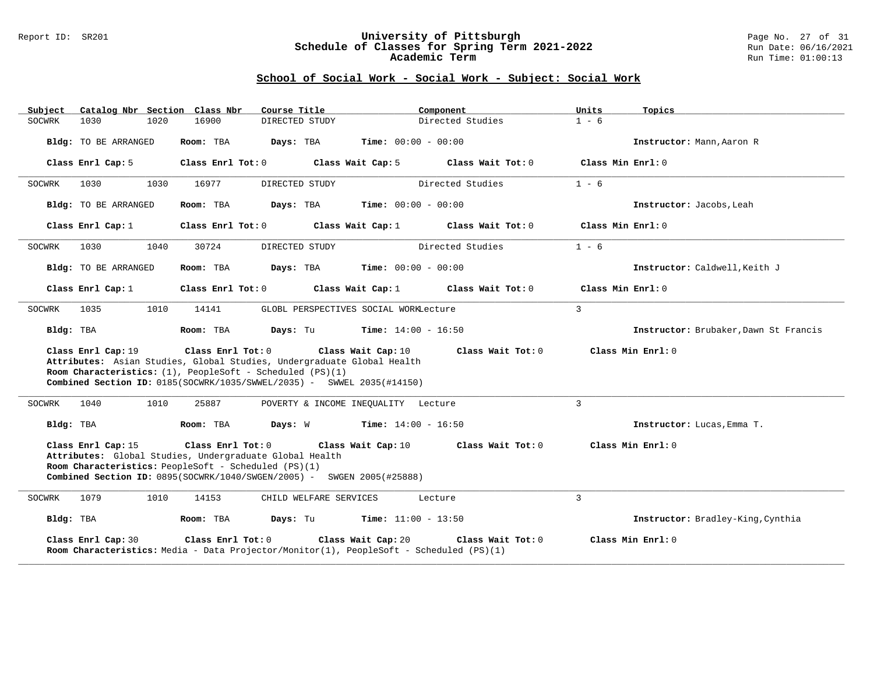#### Report ID: SR201 **University of Pittsburgh** Page No. 27 of 31 **Schedule of Classes for Spring Term 2021-2022** Run Date: 06/16/2021 **Academic Term** Run Time: 01:00:13

| Subject   | Catalog Nbr Section Class Nbr                                                                                                                                                                                                                    |      |                                      | Course Title                                                                                                                                                                              |                                       | Component         | Units          | Topics                                |
|-----------|--------------------------------------------------------------------------------------------------------------------------------------------------------------------------------------------------------------------------------------------------|------|--------------------------------------|-------------------------------------------------------------------------------------------------------------------------------------------------------------------------------------------|---------------------------------------|-------------------|----------------|---------------------------------------|
| SOCWRK    | 1030                                                                                                                                                                                                                                             | 1020 | 16900                                | DIRECTED STUDY                                                                                                                                                                            |                                       | Directed Studies  | $1 - 6$        |                                       |
|           | Bldg: TO BE ARRANGED                                                                                                                                                                                                                             |      | Room: TBA                            | Days: TBA                                                                                                                                                                                 | $Time: 00:00 - 00:00$                 |                   |                | Instructor: Mann, Aaron R             |
|           | Class Enrl Cap: 5                                                                                                                                                                                                                                |      |                                      | Class Enrl Tot: 0 Class Wait Cap: 5                                                                                                                                                       |                                       | Class Wait Tot: 0 |                | Class Min Enrl: 0                     |
| SOCWRK    | 1030                                                                                                                                                                                                                                             | 1030 | 16977                                | DIRECTED STUDY                                                                                                                                                                            |                                       | Directed Studies  | $1 - 6$        |                                       |
|           | Bldg: TO BE ARRANGED                                                                                                                                                                                                                             |      | Room: TBA                            | Days: TBA                                                                                                                                                                                 | <b>Time:</b> $00:00 - 00:00$          |                   |                | Instructor: Jacobs, Leah              |
|           | Class Enrl Cap: 1                                                                                                                                                                                                                                |      |                                      | Class Enrl Tot: 0 Class Wait Cap: 1                                                                                                                                                       |                                       | Class Wait Tot: 0 |                | Class Min Enrl: 0                     |
| SOCWRK    | 1030                                                                                                                                                                                                                                             | 1040 | 30724                                | DIRECTED STUDY                                                                                                                                                                            |                                       | Directed Studies  | $1 - 6$        |                                       |
|           | Bldg: TO BE ARRANGED                                                                                                                                                                                                                             |      | Room: TBA                            | Days: TBA                                                                                                                                                                                 | <b>Time:</b> $00:00 - 00:00$          |                   |                | Instructor: Caldwell, Keith J         |
|           | Class Enrl Cap: 1                                                                                                                                                                                                                                |      |                                      | Class Enrl Tot: 0 Class Wait Cap: 1                                                                                                                                                       |                                       | Class Wait Tot: 0 |                | Class Min Enrl: 0                     |
| SOCWRK    | 1035                                                                                                                                                                                                                                             | 1010 | 14141                                |                                                                                                                                                                                           | GLOBL PERSPECTIVES SOCIAL WORKLecture |                   | $\mathcal{E}$  |                                       |
| Bldg: TBA |                                                                                                                                                                                                                                                  |      | Room: TBA                            | Days: Tu                                                                                                                                                                                  | <b>Time:</b> $14:00 - 16:50$          |                   |                | Instructor: Brubaker, Dawn St Francis |
|           | Class Enrl Cap: 19<br>Attributes: Asian Studies, Global Studies, Undergraduate Global Health<br>Room Characteristics: $(1)$ , PeopleSoft - Scheduled (PS) $(1)$<br><b>Combined Section ID:</b> $0185(SOCWR/1035/SWWEL/2035) - SWEL 2035(#14150)$ |      | Class Enrl Tot: 0 Class Wait Cap: 10 |                                                                                                                                                                                           | Class Min Enrl: 0                     |                   |                |                                       |
| SOCWRK    | 1040                                                                                                                                                                                                                                             | 1010 | 25887                                |                                                                                                                                                                                           | POVERTY & INCOME INEQUALITY Lecture   |                   | 3              |                                       |
| Bldg: TBA |                                                                                                                                                                                                                                                  |      | Room: TBA                            | <b>Days:</b> W <b>Time:</b> $14:00 - 16:50$                                                                                                                                               |                                       |                   |                | Instructor: Lucas, Emma T.            |
|           | Class Enrl Cap: 15                                                                                                                                                                                                                               |      | Class Enrl Tot: 0                    | Attributes: Global Studies, Undergraduate Global Health<br>Room Characteristics: PeopleSoft - Scheduled (PS)(1)<br>Combined Section ID: 0895(SOCWRK/1040/SWGEN/2005) - SWGEN 2005(#25888) | Class Wait Cap: 10                    | Class Wait Tot: 0 |                | Class Min Enrl: 0                     |
| SOCWRK    | 1079                                                                                                                                                                                                                                             | 1010 | 14153                                | CHILD WELFARE SERVICES                                                                                                                                                                    |                                       | Lecture           | $\overline{3}$ |                                       |
| Bldg: TBA |                                                                                                                                                                                                                                                  |      | Room: TBA                            | <b>Days:</b> Tu <b>Time:</b> $11:00 - 13:50$                                                                                                                                              |                                       |                   |                | Instructor: Bradley-King, Cynthia     |
|           | Class Enrl Cap: 30                                                                                                                                                                                                                               |      |                                      | Class Enrl Tot: 0 Class Wait Cap: 20<br>Room Characteristics: Media - Data Projector/Monitor(1), PeopleSoft - Scheduled (PS)(1)                                                           |                                       | Class Wait Tot: 0 |                | Class Min Enrl: 0                     |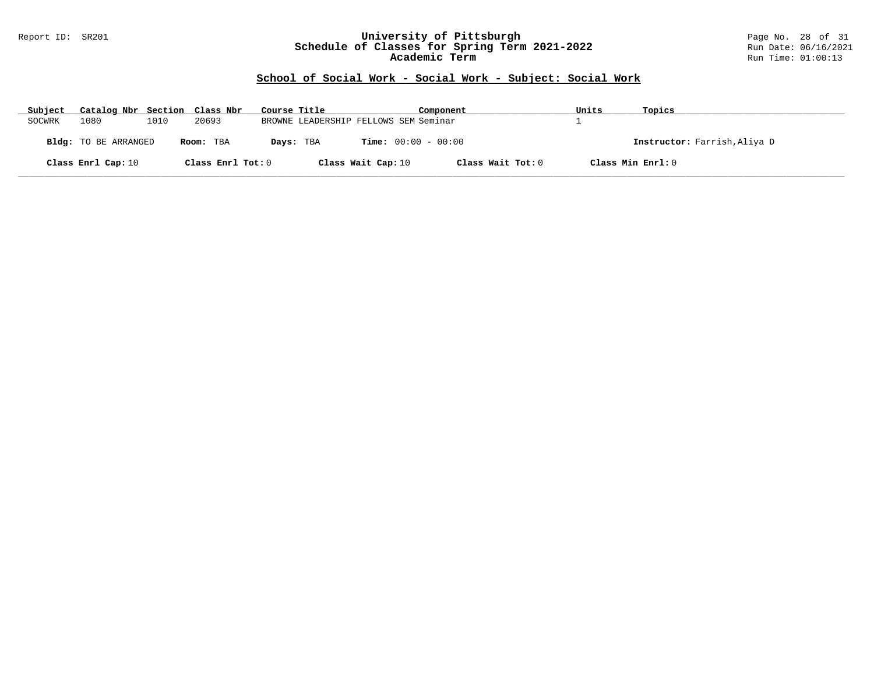#### Report ID: SR201 **University of Pittsburgh** Page No. 28 of 31 **Schedule of Classes for Spring Term 2021-2022** Run Date: 06/16/2021 **Academic Term** Run Time: 01:00:13

| Subject | Catalog Nbr Section Class Nbr |      |                   | Course Title |                                       |                    | Component                    | Units | Topics                       |
|---------|-------------------------------|------|-------------------|--------------|---------------------------------------|--------------------|------------------------------|-------|------------------------------|
| SOCWRK  | 1080                          | 1010 | 20693             |              | BROWNE LEADERSHIP FELLOWS SEM Seminar |                    |                              |       |                              |
|         | <b>Bldg:</b> TO BE ARRANGED   |      | Room: TBA         | Days: TBA    |                                       |                    | <b>Time:</b> $00:00 - 00:00$ |       | Instructor: Farrish, Aliya D |
|         | Class Enrl Cap: 10            |      | Class Enrl Tot: 0 |              |                                       | Class Wait Cap: 10 | Class Wait Tot: 0            |       | Class Min Enrl: 0            |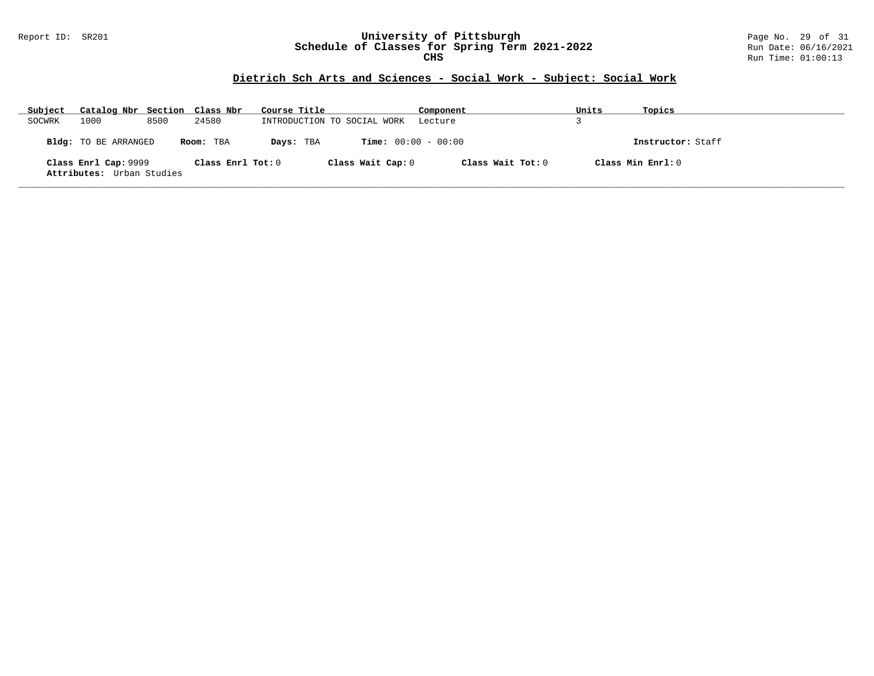#### Report ID: SR201 **University of Pittsburgh** Page No. 29 of 31 **Schedule of Classes for Spring Term 2021-2022** Run Date: 06/16/2021 **CHS** Run Time: 01:00:13

# **Dietrich Sch Arts and Sciences - Social Work - Subject: Social Work**

| Subject | Catalog Nbr Section Class Nbr                     |      |                   | Course Title                | Component                    | Units | Topics            |
|---------|---------------------------------------------------|------|-------------------|-----------------------------|------------------------------|-------|-------------------|
| SOCWRK  | 1000                                              | 8500 | 24580             | INTRODUCTION TO SOCIAL WORK | Lecture                      |       |                   |
|         | Bldg: TO BE ARRANGED                              |      | Room: TBA         | Days: TBA                   | <b>Time:</b> $00:00 - 00:00$ |       | Instructor: Staff |
|         | Class Enrl Cap: 9999<br>Attributes: Urban Studies |      | Class Enrl Tot: 0 | Class Wait Cap: 0           | Class Wait Tot: 0            |       | Class Min Enrl: 0 |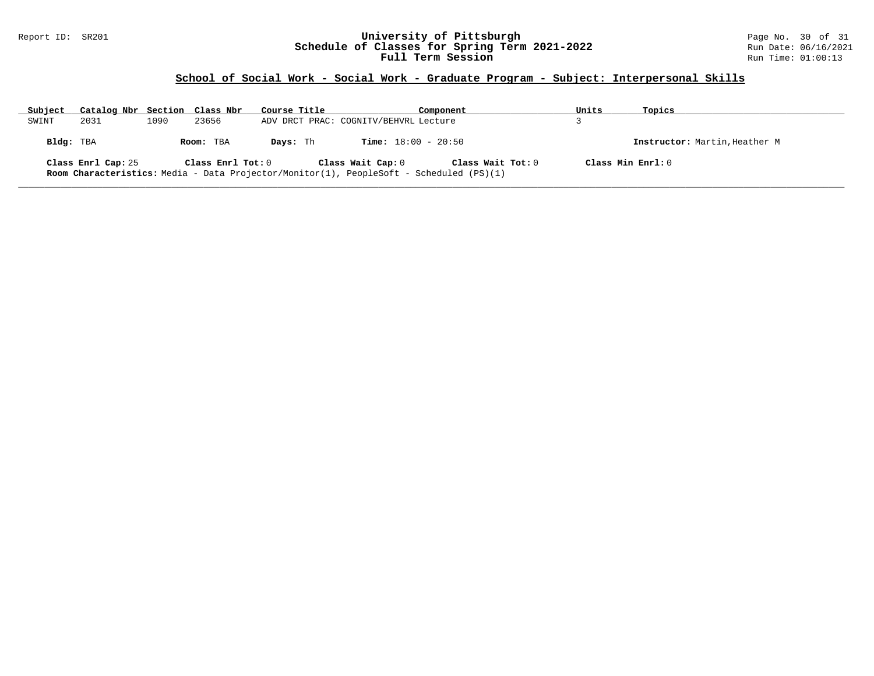#### Report ID: SR201 **University of Pittsburgh** Page No. 30 of 31 **Schedule of Classes for Spring Term 2021-2022** Run Date: 06/16/2021 **Full Term Session Run Time: 01:00:13**

| Subject   | Catalog Nbr Section Class Nbr |      |                   | Course Title                          | Component                                                                                                           | Units | Topics                        |
|-----------|-------------------------------|------|-------------------|---------------------------------------|---------------------------------------------------------------------------------------------------------------------|-------|-------------------------------|
| SWINT     | 2031                          | 1090 | 23656             | ADV DRCT PRAC: COGNITV/BEHVRL Lecture |                                                                                                                     |       |                               |
| Bldg: TBA |                               |      | Room: TBA         | Davs: Th                              | <b>Time:</b> $18:00 - 20:50$                                                                                        |       | Instructor: Martin, Heather M |
|           | Class Enrl Cap: 25            |      | Class Enrl Tot: 0 | Class Wait Cap: 0                     | Class Wait Tot: 0<br><b>Room Characteristics:</b> Media - Data Projector/Monitor(1), PeopleSoft - Scheduled (PS)(1) |       | Class Min $Enrl: 0$           |